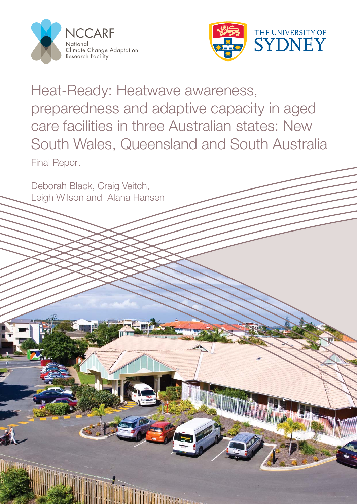

Deborah Black, Craig Veitch,

Leigh Wilson and Alana Hansen



Heat-Ready: Heatwave awareness, preparedness and adaptive capacity in aged care facilities in three Australian states: New South Wales, Queensland and South Australia Final Report

**MINIMARY**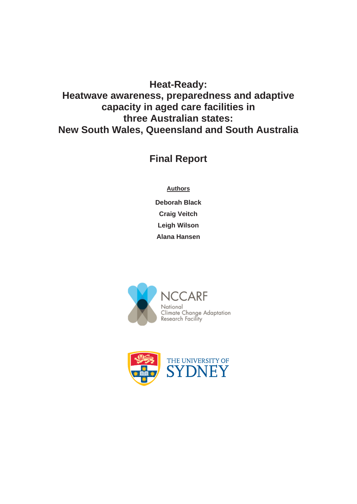# **Heat-Ready: Heatwave awareness, preparedness and adaptive capacity in aged care facilities in three Australian states: New South Wales, Queensland and South Australia**

**Final Report** 

**Authors** 

**Deborah Black Craig Veitch Leigh Wilson Alana Hansen** 



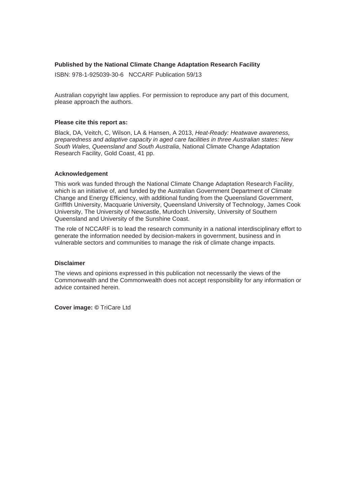#### **Published by the National Climate Change Adaptation Research Facility**

ISBN: 978-1-925039-30-6 NCCARF Publication 59/13

Australian copyright law applies. For permission to reproduce any part of this document, please approach the authors.

#### **Please cite this report as:**

Black, DA, Veitch, C, Wilson, LA & Hansen, A 2013, *Heat-Ready: Heatwave awareness, preparedness and adaptive capacity in aged care facilities in three Australian states: New South Wales, Queensland and South Australia*, National Climate Change Adaptation Research Facility, Gold Coast, 41 pp.

#### **Acknowledgement**

This work was funded through the National Climate Change Adaptation Research Facility, which is an initiative of, and funded by the Australian Government Department of Climate Change and Energy Efficiency, with additional funding from the Queensland Government, Griffith University, Macquarie University, Queensland University of Technology, James Cook University, The University of Newcastle, Murdoch University, University of Southern Queensland and University of the Sunshine Coast.

The role of NCCARF is to lead the research community in a national interdisciplinary effort to generate the information needed by decision-makers in government, business and in vulnerable sectors and communities to manage the risk of climate change impacts.

#### **Disclaimer**

The views and opinions expressed in this publication not necessarily the views of the Commonwealth and the Commonwealth does not accept responsibility for any information or advice contained herein.

**Cover image: ©** TriCare Ltd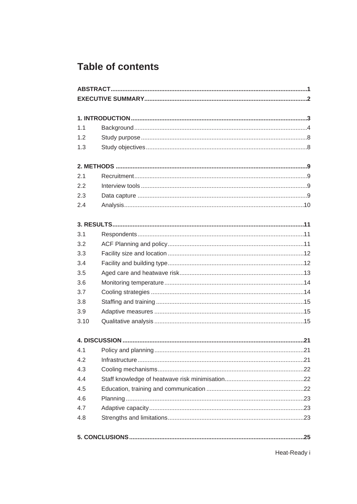# **Table of contents**

| 1.1  |  |
|------|--|
| 1.2  |  |
| 1.3  |  |
|      |  |
| 2.1  |  |
| 2.2  |  |
| 2.3  |  |
| 2.4  |  |
|      |  |
| 3.1  |  |
| 3.2  |  |
| 3.3  |  |
| 3.4  |  |
| 3.5  |  |
| 3.6  |  |
| 3.7  |  |
| 3.8  |  |
| 3.9  |  |
| 3.10 |  |
|      |  |
| 4.1  |  |
| 4.2  |  |
| 4.3  |  |
| 4.4  |  |
| 4.5  |  |
| 4.6  |  |
| 4.7  |  |
| 4.8  |  |
|      |  |

Heat-Ready i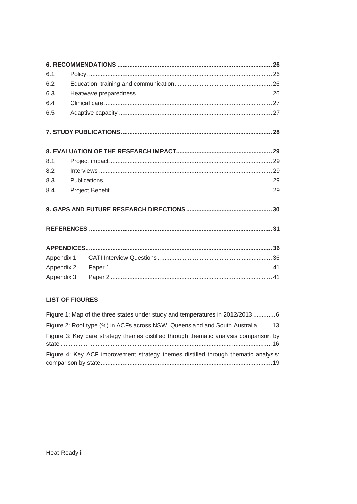| 6.1        |  |  |  |
|------------|--|--|--|
| 6.2        |  |  |  |
| 6.3        |  |  |  |
| 6.4        |  |  |  |
| 6.5        |  |  |  |
|            |  |  |  |
|            |  |  |  |
| 8.1        |  |  |  |
| 8.2        |  |  |  |
| 8.3        |  |  |  |
| 8.4        |  |  |  |
|            |  |  |  |
|            |  |  |  |
|            |  |  |  |
| Appendix 1 |  |  |  |
| Appendix 2 |  |  |  |
| Appendix 3 |  |  |  |

## **LIST OF FIGURES**

| Figure 1: Map of the three states under study and temperatures in 2012/20136         |
|--------------------------------------------------------------------------------------|
| Figure 2: Roof type (%) in ACFs across NSW, Queensland and South Australia 13        |
| Figure 3: Key care strategy themes distilled through thematic analysis comparison by |
| Figure 4: Key ACF improvement strategy themes distilled through thematic analysis:   |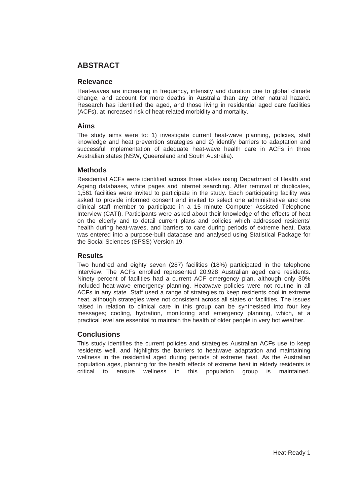## **ABSTRACT**

#### **Relevance**

Heat-waves are increasing in frequency, intensity and duration due to global climate change, and account for more deaths in Australia than any other natural hazard. Research has identified the aged, and those living in residential aged care facilities (ACFs), at increased risk of heat-related morbidity and mortality.

#### **Aims**

The study aims were to: 1) investigate current heat-wave planning, policies, staff knowledge and heat prevention strategies and 2) identify barriers to adaptation and successful implementation of adequate heat-wave health care in ACFs in three Australian states (NSW, Queensland and South Australia).

#### **Methods**

Residential ACFs were identified across three states using Department of Health and Ageing databases, white pages and internet searching. After removal of duplicates, 1,561 facilities were invited to participate in the study. Each participating facility was asked to provide informed consent and invited to select one administrative and one clinical staff member to participate in a 15 minute Computer Assisted Telephone Interview (CATI). Participants were asked about their knowledge of the effects of heat on the elderly and to detail current plans and policies which addressed residents' health during heat-waves, and barriers to care during periods of extreme heat. Data was entered into a purpose-built database and analysed using Statistical Package for the Social Sciences (SPSS) Version 19.

#### **Results**

Two hundred and eighty seven (287) facilities (18%) participated in the telephone interview. The ACFs enrolled represented 20,928 Australian aged care residents. Ninety percent of facilities had a current ACF emergency plan, although only 30% included heat-wave emergency planning. Heatwave policies were not routine in all ACFs in any state. Staff used a range of strategies to keep residents cool in extreme heat, although strategies were not consistent across all states or facilities. The issues raised in relation to clinical care in this group can be synthesised into four key messages; cooling, hydration, monitoring and emergency planning, which, at a practical level are essential to maintain the health of older people in very hot weather.

## **Conclusions**

This study identifies the current policies and strategies Australian ACFs use to keep residents well, and highlights the barriers to heatwave adaptation and maintaining wellness in the residential aged during periods of extreme heat. As the Australian population ages, planning for the health effects of extreme heat in elderly residents is critical to ensure wellness in this population group is maintained.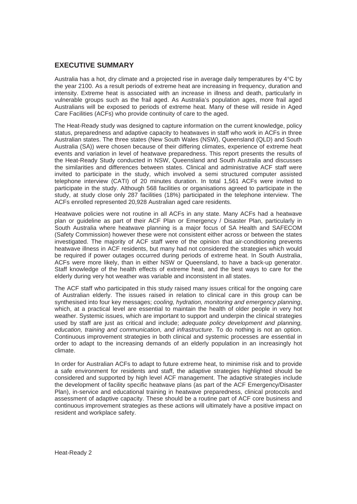#### **EXECUTIVE SUMMARY**

Australia has a hot, dry climate and a projected rise in average daily temperatures by 4°C by the year 2100. As a result periods of extreme heat are increasing in frequency, duration and intensity. Extreme heat is associated with an increase in illness and death, particularly in vulnerable groups such as the frail aged. As Australia's population ages, more frail aged Australians will be exposed to periods of extreme heat. Many of these will reside in Aged Care Facilities (ACFs) who provide continuity of care to the aged.

The Heat-Ready study was designed to capture information on the current knowledge, policy status, preparedness and adaptive capacity to heatwaves in staff who work in ACFs in three Australian states. The three states (New South Wales (NSW), Queensland (QLD) and South Australia (SA)) were chosen because of their differing climates, experience of extreme heat events and variation in level of heatwave preparedness. This report presents the results of the Heat-Ready Study conducted in NSW, Queensland and South Australia and discusses the similarities and differences between states. Clinical and administrative ACF staff were invited to participate in the study, which involved a semi structured computer assisted telephone interview (CATI) of 20 minutes duration. In total 1,561 ACFs were invited to participate in the study. Although 568 facilities or organisations agreed to participate in the study, at study close only 287 facilities (18%) participated in the telephone interview. The ACFs enrolled represented 20,928 Australian aged care residents.

Heatwave policies were not routine in all ACFs in any state. Many ACFs had a heatwave plan or guideline as part of their ACF Plan or Emergency / Disaster Plan, particularly in South Australia where heatwave planning is a major focus of SA Health and SAFECOM (Safety Commission) however these were not consistent either across or between the states investigated. The majority of ACF staff were of the opinion that air-conditioning prevents heatwave illness in ACF residents, but many had not considered the strategies which would be required if power outages occurred during periods of extreme heat. In South Australia, ACFs were more likely, than in either NSW or Queensland, to have a back-up generator. Staff knowledge of the health effects of extreme heat, and the best ways to care for the elderly during very hot weather was variable and inconsistent in all states.

The ACF staff who participated in this study raised many issues critical for the ongoing care of Australian elderly. The issues raised in relation to clinical care in this group can be synthesised into four key messages; *cooling, hydration, monitoring and emergency planning*, which, at a practical level are essential to maintain the health of older people in very hot weather. Systemic issues, which are important to support and underpin the clinical strategies used by staff are just as critical and include; *adequate policy development and planning, education, training and communication, and infrastructure*. To do nothing is not an option. Continuous improvement strategies in both clinical and systemic processes are essential in order to adapt to the increasing demands of an elderly population in an increasingly hot climate.

In order for Australian ACFs to adapt to future extreme heat, to minimise risk and to provide a safe environment for residents and staff, the adaptive strategies highlighted should be considered and supported by high level ACF management. The adaptive strategies include the development of facility specific heatwave plans (as part of the ACF Emergency/Disaster Plan), in-service and educational training in heatwave preparedness, clinical protocols and assessment of adaptive capacity. These should be a routine part of ACF core business and continuous improvement strategies as these actions will ultimately have a positive impact on resident and workplace safety.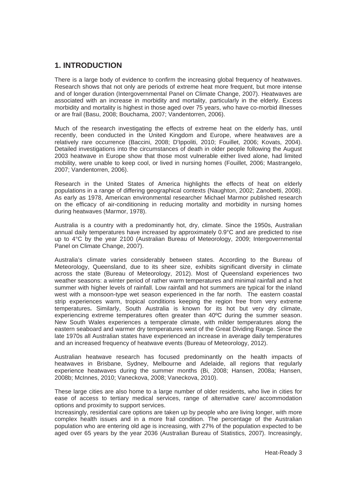## **1. INTRODUCTION**

There is a large body of evidence to confirm the increasing global frequency of heatwaves. Research shows that not only are periods of extreme heat more frequent, but more intense and of longer duration (Intergovernmental Panel on Climate Change, 2007). Heatwaves are associated with an increase in morbidity and mortality, particularly in the elderly. Excess morbidity and mortality is highest in those aged over 75 years, who have co-morbid illnesses or are frail (Basu, 2008; Bouchama, 2007; Vandentorren, 2006).

Much of the research investigating the effects of extreme heat on the elderly has, until recently, been conducted in the United Kingdom and Europe, where heatwaves are a relatively rare occurrence (Baccini, 2008; D'Ippoliti, 2010; Fouillet, 2006; Kovats, 2004). Detailed investigations into the circumstances of death in older people following the August 2003 heatwave in Europe show that those most vulnerable either lived alone, had limited mobility, were unable to keep cool, or lived in nursing homes (Fouillet, 2006; Mastrangelo, 2007; Vandentorren, 2006).

Research in the United States of America highlights the effects of heat on elderly populations in a range of differing geographical contexts (Naughton, 2002; Zanobetti, 2008). As early as 1978, American environmental researcher Michael Marmor published research on the efficacy of air-conditioning in reducing mortality and morbidity in nursing homes during heatwaves (Marmor, 1978).

Australia is a country with a predominantly hot, dry, climate. Since the 1950s, Australian annual daily temperatures have increased by approximately 0.9°C and are predicted to rise up to 4°C by the year 2100 (Australian Bureau of Meteorology, 2009; Intergovernmental Panel on Climate Change, 2007).

Australia's climate varies considerably between states. According to the Bureau of Meteorology, Queensland, due to its sheer size, exhibits significant diversity in climate across the state (Bureau of Meteorology, 2012). Most of Queensland experiences two weather seasons: a winter period of rather warm temperatures and minimal rainfall and a hot summer with higher levels of rainfall. Low rainfall and hot summers are typical for the inland west with a monsoon-type wet season experienced in the far north. The eastern coastal strip experiences warm, tropical conditions keeping the region free from very extreme temperatures**.** Similarly, South Australia is known for its hot but very dry climate, experiencing extreme temperatures often greater than 40ºC during the summer season. New South Wales experiences a temperate climate, with milder temperatures along the eastern seaboard and warmer dry temperatures west of the Great Dividing Range. Since the late 1970s all Australian states have experienced an increase in average daily temperatures and an increased frequency of heatwave events (Bureau of Meteorology, 2012).

Australian heatwave research has focused predominantly on the health impacts of heatwaves in Brisbane, Sydney, Melbourne and Adelaide, all regions that regularly experience heatwaves during the summer months (Bi, 2008; Hansen, 2008a; Hansen, 2008b; McInnes, 2010; Vaneckova, 2008; Vaneckova, 2010).

These large cities are also home to a large number of older residents, who live in cities for ease of access to tertiary medical services, range of alternative care/ accommodation options and proximity to support services.

Increasingly, residential care options are taken up by people who are living longer, with more complex health issues and in a more frail condition. The percentage of the Australian population who are entering old age is increasing, with 27% of the population expected to be aged over 65 years by the year 2036 (Australian Bureau of Statistics, 2007). Increasingly,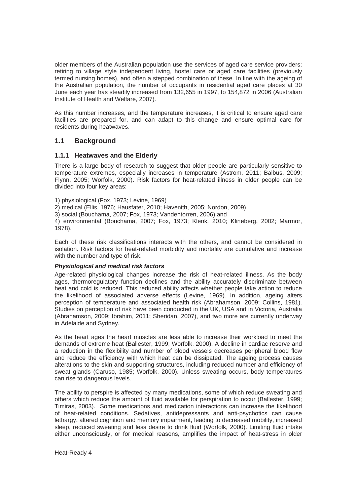older members of the Australian population use the services of aged care service providers; retiring to village style independent living, hostel care or aged care facilities (previously termed nursing homes), and often a stepped combination of these. In line with the ageing of the Australian population, the number of occupants in residential aged care places at 30 June each year has steadily increased from 132,655 in 1997, to 154,872 in 2006 (Australian Institute of Health and Welfare, 2007).

As this number increases, and the temperature increases, it is critical to ensure aged care facilities are prepared for, and can adapt to this change and ensure optimal care for residents during heatwaves.

#### **1.1 Background**

#### **1.1.1 Heatwaves and the Elderly**

There is a large body of research to suggest that older people are particularly sensitive to temperature extremes, especially increases in temperature (Astrom, 2011; Balbus, 2009; Flynn, 2005; Worfolk, 2000). Risk factors for heat-related illness in older people can be divided into four key areas:

- 1) physiological (Fox, 1973; Levine, 1969)
- 2) medical (Ellis, 1976; Hausfater, 2010; Havenith, 2005; Nordon, 2009)
- 3) social (Bouchama, 2007; Fox, 1973; Vandentorren, 2006) and

4) environmental (Bouchama, 2007; Fox, 1973; Klenk, 2010; Klineberg, 2002; Marmor, 1978).

Each of these risk classifications interacts with the others, and cannot be considered in isolation. Risk factors for heat-related morbidity and mortality are cumulative and increase with the number and type of risk.

#### *Physiological and medical risk factors*

Age-related physiological changes increase the risk of heat-related illness. As the body ages, thermoregulatory function declines and the ability accurately discriminate between heat and cold is reduced. This reduced ability affects whether people take action to reduce the likelihood of associated adverse effects (Levine, 1969). In addition, ageing alters perception of temperature and associated health risk (Abrahamson, 2009; Collins, 1981). Studies on perception of risk have been conducted in the UK, USA and in Victoria, Australia (Abrahamson, 2009; Ibrahim, 2011; Sheridan, 2007), and two more are currently underway in Adelaide and Sydney.

As the heart ages the heart muscles are less able to increase their workload to meet the demands of extreme heat (Ballester, 1999; Worfolk, 2000). A decline in cardiac reserve and a reduction in the flexibility and number of blood vessels decreases peripheral blood flow and reduce the efficiency with which heat can be dissipated. The ageing process causes alterations to the skin and supporting structures, including reduced number and efficiency of sweat glands (Caruso, 1985; Worfolk, 2000). Unless sweating occurs, body temperatures can rise to dangerous levels.

The ability to perspire is affected by many medications, some of which reduce sweating and others which reduce the amount of fluid available for perspiration to occur (Ballester, 1999; Timiras, 2003). Some medications and medication interactions can increase the likelihood of heat-related conditions. Sedatives, antidepressants and anti-psychotics can cause lethargy, altered cognition and memory impairment, leading to decreased mobility, increased sleep, reduced sweating and less desire to drink fluid (Worfolk, 2000). Limiting fluid intake either unconsciously, or for medical reasons, amplifies the impact of heat-stress in older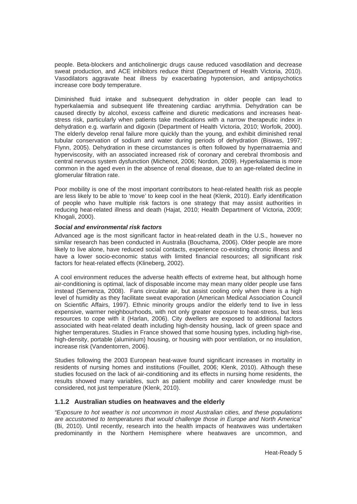people. Beta-blockers and anticholinergic drugs cause reduced vasodilation and decrease sweat production, and ACE inhibitors reduce thirst (Department of Health Victoria, 2010). Vasodilators aggravate heat illness by exacerbating hypotension, and antipsychotics increase core body temperature.

Diminished fluid intake and subsequent dehydration in older people can lead to hyperkalaemia and subsequent life threatening cardiac arrythmia. Dehydration can be caused directly by alcohol, excess caffeine and diuretic medications and increases heatstress risk, particularly when patients take medications with a narrow therapeutic index in dehydration e.g. warfarin and digoxin (Department of Health Victoria, 2010; Worfolk, 2000). The elderly develop renal failure more quickly than the young, and exhibit diminished renal tubular conservation of sodium and water during periods of dehydration (Biswas, 1997; Flynn, 2005). Dehydration in these circumstances is often followed by hypernatraemia and hyperviscosity, with an associated increased risk of coronary and cerebral thrombosis and central nervous system dysfunction (Michenot, 2006; Nordon, 2009). Hyperkalaemia is more common in the aged even in the absence of renal disease, due to an age-related decline in glomerular filtration rate.

Poor mobility is one of the most important contributors to heat-related health risk as people are less likely to be able to 'move' to keep cool in the heat (Klenk, 2010). Early identification of people who have multiple risk factors is one strategy that may assist authorities in reducing heat-related illness and death (Hajat, 2010; Health Department of Victoria, 2009; Khogali, 2000).

#### *Social and environmental risk factors*

Advanced age is the most significant factor in heat-related death in the U.S., however no similar research has been conducted in Australia (Bouchama, 2006). Older people are more likely to live alone, have reduced social contacts, experience co-existing chronic illness and have a lower socio-economic status with limited financial resources; all significant risk factors for heat-related effects (Klineberg, 2002).

A cool environment reduces the adverse health effects of extreme heat, but although home air-conditioning is optimal, lack of disposable income may mean many older people use fans instead (Semenza, 2008). Fans circulate air, but assist cooling only when there is a high level of humidity as they facilitate sweat evaporation (American Medical Association Council on Scientific Affairs, 1997). Ethnic minority groups and/or the elderly tend to live in less expensive, warmer neighbourhoods, with not only greater exposure to heat-stress, but less resources to cope with it (Harlan, 2006). City dwellers are exposed to additional factors associated with heat-related death including high-density housing, lack of green space and higher temperatures. Studies in France showed that some housing types, including high-rise, high-density, portable (aluminium) housing, or housing with poor ventilation, or no insulation, increase risk (Vandentorren, 2006).

Studies following the 2003 European heat-wave found significant increases in mortality in residents of nursing homes and institutions (Fouillet, 2006; Klenk, 2010). Although these studies focused on the lack of air-conditioning and its effects in nursing home residents, the results showed many variables, such as patient mobility and carer knowledge must be considered, not just temperature (Klenk, 2010).

#### **1.1.2 Australian studies on heatwaves and the elderly**

*"Exposure to hot weather is not uncommon in most Australian cities, and these populations are accustomed to temperatures that would challenge those in Europe and North America*" (Bi, 2010). Until recently, research into the health impacts of heatwaves was undertaken predominantly in the Northern Hemisphere where heatwaves are uncommon, and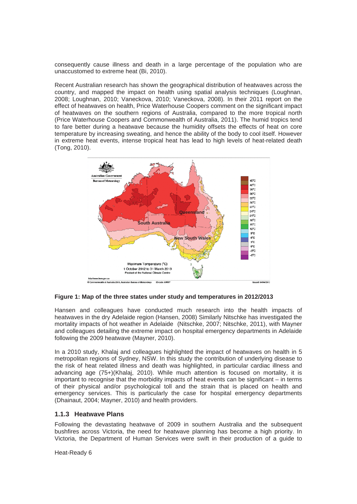consequently cause illness and death in a large percentage of the population who are unaccustomed to extreme heat (Bi, 2010).

Recent Australian research has shown the geographical distribution of heatwaves across the country, and mapped the impact on health using spatial analysis techniques (Loughnan, 2008; Loughnan, 2010; Vaneckova, 2010; Vaneckova, 2008). In their 2011 report on the effect of heatwaves on health, Price Waterhouse Coopers comment on the significant impact of heatwaves on the southern regions of Australia, compared to the more tropical north (Price Waterhouse Coopers and Commonwealth of Australia, 2011). The humid tropics tend to fare better during a heatwave because the humidity offsets the effects of heat on core temperature by increasing sweating, and hence the ability of the body to cool itself. However in extreme heat events, intense tropical heat has lead to high levels of heat-related death (Tong, 2010).



**Figure 1: Map of the three states under study and temperatures in 2012/2013** 

Hansen and colleagues have conducted much research into the health impacts of heatwaves in the dry Adelaide region (Hansen, 2008) Similarly Nitschke has investigated the mortality impacts of hot weather in Adelaide (Nitschke, 2007; Nitschke, 2011), with Mayner and colleagues detailing the extreme impact on hospital emergency departments in Adelaide following the 2009 heatwave (Mayner, 2010).

In a 2010 study, Khalaj and colleagues highlighted the impact of heatwaves on health in 5 metropolitan regions of Sydney, NSW. In this study the contribution of underlying disease to the risk of heat related illness and death was highlighted, in particular cardiac illness and advancing age (75+)(Khalaj, 2010). While much attention is focused on mortality, it is important to recognise that the morbidity impacts of heat events can be significant – in terms of their physical and/or psychological toll and the strain that is placed on health and emergency services. This is particularly the case for hospital emergency departments (Dhainaut, 2004; Mayner, 2010) and health providers.

#### **1.1.3 Heatwave Plans**

Following the devastating heatwave of 2009 in southern Australia and the subsequent bushfires across Victoria, the need for heatwave planning has become a high priority. In Victoria, the Department of Human Services were swift in their production of a guide to

Heat-Ready 6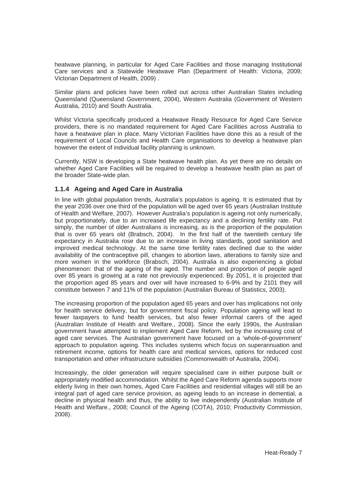heatwave planning, in particular for Aged Care Facilities and those managing Institutional Care services and a Statewide Heatwave Plan (Department of Health: Victoria, 2009; Victorian Department of Health, 2009) .

Similar plans and policies have been rolled out across other Australian States including Queensland (Queensland Government, 2004), Western Australia (Government of Western Australia, 2010) and South Australia.

Whilst Victoria specifically produced a Heatwave Ready Resource for Aged Care Service providers, there is no mandated requirement for Aged Care Facilities across Australia to have a heatwave plan in place. Many Victorian Facilities have done this as a result of the requirement of Local Councils and Health Care organisations to develop a heatwave plan however the extent of individual facility planning is unknown.

Currently, NSW is developing a State heatwave health plan. As yet there are no details on whether Aged Care Facilities will be required to develop a heatwave health plan as part of the broader State-wide plan.

#### **1.1.4 Ageing and Aged Care in Australia**

In line with global population trends, Australia's population is ageing. It is estimated that by the year 2036 over one third of the population will be aged over 65 years (Australian Institute of Health and Welfare, 2007). However Australia's population is ageing not only numerically, but proportionately, due to an increased life expectancy and a declining fertility rate. Put simply, the number of older Australians is increasing, as is the proportion of the population that is over 65 years old (Brabsch, 2004). In the first half of the twentieth century life expectancy in Australia rose due to an increase in living standards, good sanitation and improved medical technology. At the same time fertility rates declined due to the wider availability of the contraceptive pill, changes to abortion laws, alterations to family size and more women in the workforce (Brabsch, 2004). Australia is also experiencing a global phenomenon: that of the ageing of the aged. The number and proportion of people aged over 85 years is growing at a rate not previously experienced. By 2051, it is projected that the proportion aged 85 years and over will have increased to 6-9% and by 2101 they will constitute between 7 and 11% of the population (Australian Bureau of Statistics, 2003).

The increasing proportion of the population aged 65 years and over has implications not only for health service delivery, but for government fiscal policy. Population ageing will lead to fewer taxpayers to fund health services, but also fewer informal carers of the aged (Australian Institute of Health and Welfare., 2008). Since the early 1990s, the Australian government have attempted to implement Aged Care Reform, led by the increasing cost of aged care services. The Australian government have focused on a 'whole-of-government' approach to population ageing. This includes systems which focus on superannuation and retirement income, options for health care and medical services, options for reduced cost transportation and other infrastructure subsidies (Commonwealth of Australia, 2004).

Increasingly, the older generation will require specialised care in either purpose built or appropriately modified accommodation. Whilst the Aged Care Reform agenda supports more elderly living in their own homes, Aged Care Facilities and residential villages will still be an integral part of aged care service provision, as ageing leads to an increase in demential, a decline in physical health and thus, the ability to live independently (Australian Institute of Health and Welfare., 2008; Council of the Ageing (COTA), 2010; Productivity Commission, 2008).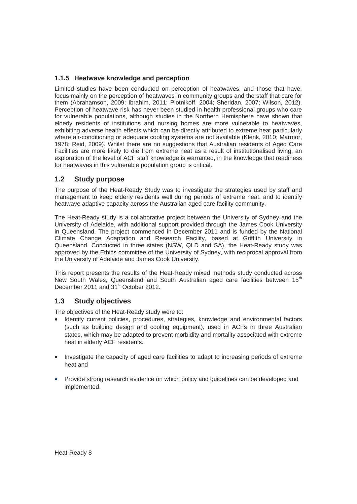#### **1.1.5 Heatwave knowledge and perception**

Limited studies have been conducted on perception of heatwaves, and those that have, focus mainly on the perception of heatwaves in community groups and the staff that care for them (Abrahamson, 2009; Ibrahim, 2011; Plotnikoff, 2004; Sheridan, 2007; Wilson, 2012). Perception of heatwave risk has never been studied in health professional groups who care for vulnerable populations, although studies in the Northern Hemisphere have shown that elderly residents of institutions and nursing homes are more vulnerable to heatwaves, exhibiting adverse health effects which can be directly attributed to extreme heat particularly where air-conditioning or adequate cooling systems are not available (Klenk, 2010; Marmor, 1978; Reid, 2009). Whilst there are no suggestions that Australian residents of Aged Care Facilities are more likely to die from extreme heat as a result of institutionalised living, an exploration of the level of ACF staff knowledge is warranted, in the knowledge that readiness for heatwaves in this vulnerable population group is critical.

## **1.2 Study purpose**

The purpose of the Heat-Ready Study was to investigate the strategies used by staff and management to keep elderly residents well during periods of extreme heat, and to identify heatwave adaptive capacity across the Australian aged care facility community.

The Heat-Ready study is a collaborative project between the University of Sydney and the University of Adelaide, with additional support provided through the James Cook University in Queensland. The project commenced in December 2011 and is funded by the National Climate Change Adaptation and Research Facility, based at Griffith University in Queensland. Conducted in three states (NSW, QLD and SA), the Heat-Ready study was approved by the Ethics committee of the University of Sydney, with reciprocal approval from the University of Adelaide and James Cook University.

This report presents the results of the Heat-Ready mixed methods study conducted across New South Wales, Queensland and South Australian aged care facilities between 15<sup>th</sup> December 2011 and 31<sup>st</sup> October 2012.

#### **1.3 Study objectives**

The objectives of the Heat-Ready study were to:

- Identify current policies, procedures, strategies, knowledge and environmental factors (such as building design and cooling equipment), used in ACFs in three Australian states, which may be adapted to prevent morbidity and mortality associated with extreme heat in elderly ACF residents.
- Investigate the capacity of aged care facilities to adapt to increasing periods of extreme heat and
- Provide strong research evidence on which policy and guidelines can be developed and implemented.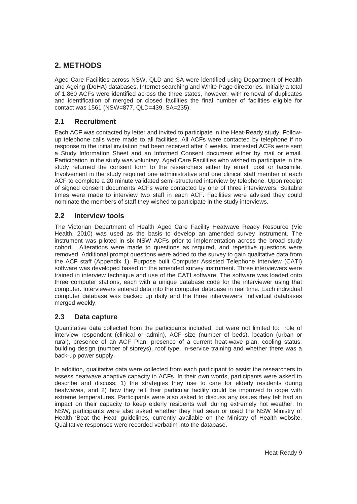## **2. METHODS**

Aged Care Facilities across NSW, QLD and SA were identified using Department of Health and Ageing (DoHA) databases, Internet searching and White Page directories. Initially a total of 1,860 ACFs were identified across the three states, however, with removal of duplicates and identification of merged or closed facilities the final number of facilities eligible for contact was 1561 (NSW=877, QLD=439, SA=235).

## **2.1 Recruitment**

Each ACF was contacted by letter and invited to participate in the Heat-Ready study. Followup telephone calls were made to all facilities. All ACFs were contacted by telephone if no response to the initial invitation had been received after 4 weeks. Interested ACFs were sent a Study Information Sheet and an Informed Consent document either by mail or email. Participation in the study was voluntary. Aged Care Facilities who wished to participate in the study returned the consent form to the researchers either by email, post or facsimile. Involvement in the study required one administrative and one clinical staff member of each ACF to complete a 20 minute validated semi-structured interview by telephone. Upon receipt of signed consent documents ACFs were contacted by one of three interviewers. Suitable times were made to interview two staff in each ACF. Facilities were advised they could nominate the members of staff they wished to participate in the study interviews.

## **2.2 Interview tools**

The Victorian Department of Health Aged Care Facility Heatwave Ready Resource (Vic Health, 2010) was used as the basis to develop an amended survey instrument. The instrument was piloted in six NSW ACFs prior to implementation across the broad study cohort. Alterations were made to questions as required, and repetitive questions were removed. Additional prompt questions were added to the survey to gain qualitative data from the ACF staff (Appendix 1). Purpose built Computer Assisted Telephone Interview (CATI) software was developed based on the amended survey instrument. Three interviewers were trained in interview technique and use of the CATI software. The software was loaded onto three computer stations, each with a unique database code for the interviewer using that computer. Interviewers entered data into the computer database in real time. Each individual computer database was backed up daily and the three interviewers' individual databases merged weekly.

## **2.3 Data capture**

Quantitative data collected from the participants included, but were not limited to: role of interview respondent (clinical or admin), ACF size (number of beds), location (urban or rural), presence of an ACF Plan, presence of a current heat-wave plan, cooling status, building design (number of storeys), roof type, in-service training and whether there was a back-up power supply.

In addition, qualitative data were collected from each participant to assist the researchers to assess heatwave adaptive capacity in ACFs. In their own words, participants were asked to describe and discuss: 1) the strategies they use to care for elderly residents during heatwaves, and 2) how they felt their particular facility could be improved to cope with extreme temperatures. Participants were also asked to discuss any issues they felt had an impact on their capacity to keep elderly residents well during extremely hot weather. In NSW, participants were also asked whether they had seen or used the NSW Ministry of Health 'Beat the Heat' guidelines, currently available on the Ministry of Health website. Qualitative responses were recorded verbatim into the database.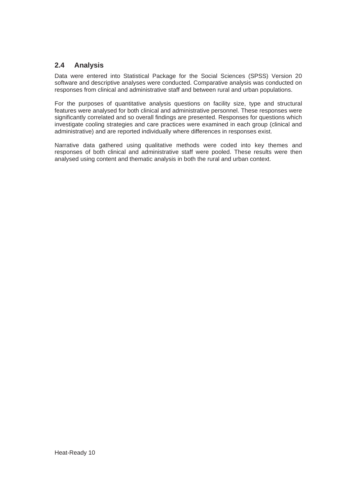## **2.4 Analysis**

Data were entered into Statistical Package for the Social Sciences (SPSS) Version 20 software and descriptive analyses were conducted. Comparative analysis was conducted on responses from clinical and administrative staff and between rural and urban populations.

For the purposes of quantitative analysis questions on facility size, type and structural features were analysed for both clinical and administrative personnel. These responses were significantly correlated and so overall findings are presented. Responses for questions which investigate cooling strategies and care practices were examined in each group (clinical and administrative) and are reported individually where differences in responses exist.

Narrative data gathered using qualitative methods were coded into key themes and responses of both clinical and administrative staff were pooled. These results were then analysed using content and thematic analysis in both the rural and urban context.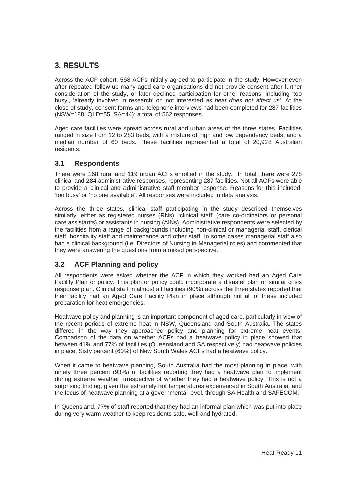## **3. RESULTS**

Across the ACF cohort, 568 ACFs initially agreed to participate in the study. However even after repeated follow-up many aged care organisations did not provide consent after further consideration of the study, or later declined participation for other reasons, including 'too busy', 'already involved in research' or 'not interested *as heat does not affect us'*. At the close of study, consent forms and telephone interviews had been completed for 287 facilities (NSW=188, QLD=55, SA=44): a total of 562 responses.

Aged care facilities were spread across rural and urban areas of the three states. Facilities ranged in size from 12 to 283 beds, with a mixture of high and low dependency beds, and a median number of 60 beds. These facilities represented a total of 20,928 Australian residents.

#### **3.1 Respondents**

There were 168 rural and 119 urban ACFs enrolled in the study. In total, there were 278 clinical and 284 administrative responses, representing 287 facilities. Not all ACFs were able to provide a clinical and administrative staff member response. Reasons for this included: 'too busy' or 'no one available'. All responses were included in data analysis.

Across the three states, clinical staff participating in the study described themselves similarly; either as registered nurses (RNs), 'clinical staff' (care co-ordinators or personal care assistants) or assistants in nursing (AINs). Administrative respondents were selected by the facilities from a range of backgrounds including non-clinical or managerial staff, clerical staff, hospitality staff and maintenance and other staff. In some cases managerial staff also had a clinical background (i.e. Directors of Nursing in Managerial roles) and commented that they were answering the questions from a mixed perspective.

## **3.2 ACF Planning and policy**

All respondents were asked whether the ACF in which they worked had an Aged Care Facility Plan or policy. This plan or policy could incorporate a disaster plan or similar crisis response plan. Clinical staff in almost all facilities (90%) across the three states reported that their facility had an Aged Care Facility Plan in place although not all of these included preparation for heat emergencies.

Heatwave policy and planning is an important component of aged care, particularly in view of the recent periods of extreme heat in NSW, Queensland and South Australia. The states differed in the way they approached policy and planning for extreme heat events. Comparison of the data on whether ACFs had a heatwave policy in place showed that between 41% and 77% of facilities (Queensland and SA respectively) had heatwave policies in place. Sixty percent (60%) of New South Wales ACFs had a heatwave policy.

When it came to heatwave planning, South Australia had the most planning in place, with ninety three percent (93%) of facilities reporting they had a heatwave plan to implement during extreme weather, irrespective of whether they had a heatwave policy. This is not a surprising finding, given the extremely hot temperatures experienced in South Australia, and the focus of heatwave planning at a governmental level, through SA Health and SAFECOM.

In Queensland, 77% of staff reported that they had an informal plan which was put into place during very warm weather to keep residents safe, well and hydrated.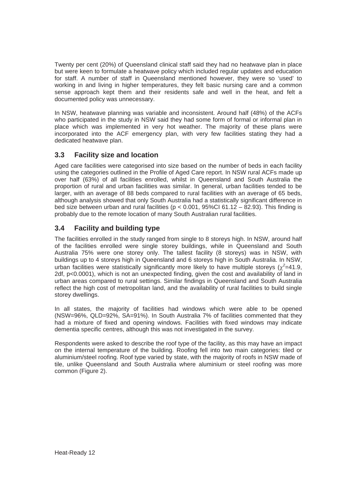Twenty per cent (20%) of Queensland clinical staff said they had no heatwave plan in place but were keen to formulate a heatwave policy which included regular updates and education for staff. A number of staff in Queensland mentioned however, they were so 'used' to working in and living in higher temperatures, they felt basic nursing care and a common sense approach kept them and their residents safe and well in the heat, and felt a documented policy was unnecessary.

In NSW, heatwave planning was variable and inconsistent. Around half (48%) of the ACFs who participated in the study in NSW said they had some form of formal or informal plan in place which was implemented in very hot weather. The majority of these plans were incorporated into the ACF emergency plan, with very few facilities stating they had a dedicated heatwave plan.

## **3.3 Facility size and location**

Aged care facilities were categorised into size based on the number of beds in each facility using the categories outlined in the Profile of Aged Care report. In NSW rural ACFs made up over half (63%) of all facilities enrolled, whilst in Queensland and South Australia the proportion of rural and urban facilities was similar. In general, urban facilities tended to be larger, with an average of 88 beds compared to rural facilities with an average of 65 beds, although analysis showed that only South Australia had a statistically significant difference in bed size between urban and rural facilities ( $p < 0.001$ , 95%CI 61.12 – 82.93). This finding is probably due to the remote location of many South Australian rural facilities.

## **3.4 Facility and building type**

The facilities enrolled in the study ranged from single to 8 storeys high. In NSW, around half of the facilities enrolled were single storey buildings, while in Queensland and South Australia 75% were one storey only. The tallest facility (8 storeys) was in NSW, with buildings up to 4 storeys high in Queensland and 6 storeys high in South Australia. In NSW, urban facilities were statistically significantly more likely to have multiple storeys ( $\chi^2$ =41.9, 2df, p<0.0001), which is not an unexpected finding, given the cost and availability of land in urban areas compared to rural settings. Similar findings in Queensland and South Australia reflect the high cost of metropolitan land, and the availability of rural facilities to build single storey dwellings.

In all states, the majority of facilities had windows which were able to be opened (NSW=96%, QLD=92%, SA=91%). In South Australia 7% of facilities commented that they had a mixture of fixed and opening windows. Facilities with fixed windows may indicate dementia specific centres, although this was not investigated in the survey.

Respondents were asked to describe the roof type of the facility, as this may have an impact on the internal temperature of the building. Roofing fell into two main categories: tiled or aluminium/steel roofing. Roof type varied by state, with the majority of roofs in NSW made of tile, unlike Queensland and South Australia where aluminium or steel roofing was more common (Figure 2).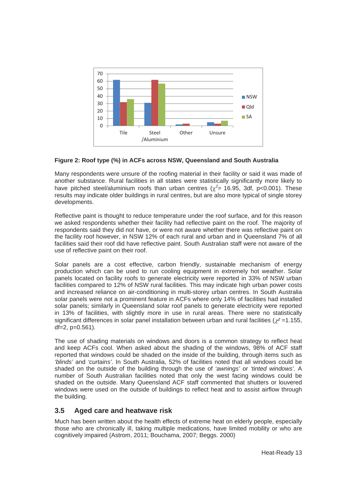

#### **Figure 2: Roof type (%) in ACFs across NSW, Queensland and South Australia**

Many respondents were unsure of the roofing material in their facility or said it was made of another substance. Rural facilities in all states were statistically significantly more likely to have pitched steel/aluminium roofs than urban centres ( $\chi^2$  = 16.95, 3df, p<0.001). These results may indicate older buildings in rural centres, but are also more typical of single storey developments.

Reflective paint is thought to reduce temperature under the roof surface, and for this reason we asked respondents whether their facility had reflective paint on the roof. The majority of respondents said they did not have, or were not aware whether there was reflective paint on the facility roof however, in NSW 12% of each rural and urban and in Queensland 7% of all facilities said their roof did have reflective paint. South Australian staff were not aware of the use of reflective paint on their roof.

Solar panels are a cost effective, carbon friendly, sustainable mechanism of energy production which can be used to run cooling equipment in extremely hot weather. Solar panels located on facility roofs to generate electricity were reported in 33% of NSW urban facilities compared to 12% of NSW rural facilities. This may indicate high urban power costs and increased reliance on air-conditioning in multi-storey urban centres. In South Australia solar panels were not a prominent feature in ACFs where only 14% of facilities had installed solar panels; similarly in Queensland solar roof panels to generate electricity were reported in 13% of facilities, with slightly more in use in rural areas. There were no statistically significant differences in solar panel installation between urban and rural facilities ( $r^2$ =1.155,  $df = 2$ ,  $p = 0.561$ ).

The use of shading materials on windows and doors is a common strategy to reflect heat and keep ACFs cool. When asked about the shading of the windows, 98% of ACF staff reported that windows could be shaded on the inside of the building, through items such as *'blinds'* and *'curtains'*. In South Australia, 52% of facilities noted that all windows could be shaded on the outside of the building through the use of *'awnings'* or *'tinted windows'.* A number of South Australian facilities noted that only the west facing windows could be shaded on the outside. Many Queensland ACF staff commented that shutters or louvered windows were used on the outside of buildings to reflect heat and to assist airflow through the building.

#### **3.5 Aged care and heatwave risk**

Much has been written about the health effects of extreme heat on elderly people, especially those who are chronically ill, taking multiple medications, have limited mobility or who are cognitively impaired (Astrom, 2011; Bouchama, 2007; Beggs. 2000)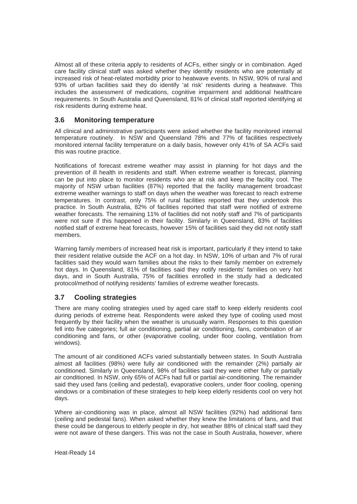Almost all of these criteria apply to residents of ACFs, either singly or in combination. Aged care facility clinical staff was asked whether they identify residents who are potentially at increased risk of heat-related morbidity prior to heatwave events. In NSW, 90% of rural and 93% of urban facilities said they do identify 'at risk' residents during a heatwave. This includes the assessment of medications, cognitive impairment and additional healthcare requirements. In South Australia and Queensland, 81% of clinical staff reported identifying at risk residents during extreme heat.

#### **3.6 Monitoring temperature**

All clinical and administrative participants were asked whether the facility monitored internal temperature routinely. In NSW and Queensland 78% and 77% of facilities respectively monitored internal facility temperature on a daily basis, however only 41% of SA ACFs said this was routine practice.

Notifications of forecast extreme weather may assist in planning for hot days and the prevention of ill health in residents and staff. When extreme weather is forecast, planning can be put into place to monitor residents who are at risk and keep the facility cool. The majority of NSW urban facilities (87%) reported that the facility management broadcast extreme weather warnings to staff on days when the weather was forecast to reach extreme temperatures. In contrast, only 75% of rural facilities reported that they undertook this practice. In South Australia, 82% of facilities reported that staff were notified of extreme weather forecasts. The remaining 11% of facilities did not notify staff and 7% of participants were not sure if this happened in their facility. Similarly in Queensland, 83% of facilities notified staff of extreme heat forecasts, however 15% of facilities said they did not notify staff members.

Warning family members of increased heat risk is important, particularly if they intend to take their resident relative outside the ACF on a hot day. In NSW, 10% of urban and 7% of rural facilities said they would warn families about the risks to their family member on extremely hot days. In Queensland, 81% of facilities said they notify residents' families on very hot days, and in South Australia, 75% of facilities enrolled in the study had a dedicated protocol/method of notifying residents' families of extreme weather forecasts.

## **3.7 Cooling strategies**

There are many cooling strategies used by aged care staff to keep elderly residents cool during periods of extreme heat. Respondents were asked they type of cooling used most frequently by their facility when the weather is unusually warm. Responses to this question fell into five categories; full air conditioning, partial air conditioning, fans, combination of air conditioning and fans, or other (evaporative cooling, under floor cooling, ventilation from windows).

The amount of air conditioned ACFs varied substantially between states. In South Australia almost all facilities (98%) were fully air conditioned with the remainder (2%) partially air conditioned. Similarly in Queensland, 98% of facilities said they were either fully or partially air conditioned. In NSW, only 65% of ACFs had full or partial air-conditioning. The remainder said they used fans (ceiling and pedestal), evaporative coolers, under floor cooling, opening windows or a combination of these strategies to help keep elderly residents cool on very hot days.

Where air-conditioning was in place, almost all NSW facilities (92%) had additional fans (ceiling and pedestal fans). When asked whether they knew the limitations of fans, and that these could be dangerous to elderly people in dry, hot weather 88% of clinical staff said they were not aware of these dangers. This was not the case in South Australia, however, where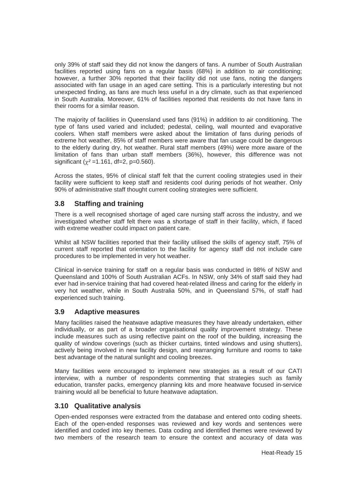only 39% of staff said they did not know the dangers of fans. A number of South Australian facilities reported using fans on a regular basis (68%) in addition to air conditioning; however, a further 30% reported that their facility did not use fans, noting the dangers associated with fan usage in an aged care setting. This is a particularly interesting but not unexpected finding, as fans are much less useful in a dry climate, such as that experienced in South Australia. Moreover, 61% of facilities reported that residents do not have fans in their rooms for a similar reason.

The majority of facilities in Queensland used fans (91%) in addition to air conditioning. The type of fans used varied and included; pedestal, ceiling, wall mounted and evaporative coolers. When staff members were asked about the limitation of fans during periods of extreme hot weather, 85% of staff members were aware that fan usage could be dangerous to the elderly during dry, hot weather. Rural staff members (49%) were more aware of the limitation of fans than urban staff members (36%), however, this difference was not significant  $(y^2 = 1.161, df = 2, p = 0.560)$ .

Across the states, 95% of clinical staff felt that the current cooling strategies used in their facility were sufficient to keep staff and residents cool during periods of hot weather. Only 90% of administrative staff thought current cooling strategies were sufficient.

## **3.8 Staffing and training**

There is a well recognised shortage of aged care nursing staff across the industry, and we investigated whether staff felt there was a shortage of staff in their facility, which, if faced with extreme weather could impact on patient care.

Whilst all NSW facilities reported that their facility utilised the skills of agency staff, 75% of current staff reported that orientation to the facility for agency staff did not include care procedures to be implemented in very hot weather.

Clinical in-service training for staff on a regular basis was conducted in 98% of NSW and Queensland and 100% of South Australian ACFs. In NSW, only 34% of staff said they had ever had in-service training that had covered heat-related illness and caring for the elderly in very hot weather, while in South Australia 50%, and in Queensland 57%, of staff had experienced such training.

#### **3.9 Adaptive measures**

Many facilities raised the heatwave adaptive measures they have already undertaken, either individually, or as part of a broader organisational quality improvement strategy. These include measures such as using reflective paint on the roof of the building, increasing the quality of window coverings (such as thicker curtains, tinted windows and using shutters), actively being involved in new facility design, and rearranging furniture and rooms to take best advantage of the natural sunlight and cooling breezes.

Many facilities were encouraged to implement new strategies as a result of our CATI interview, with a number of respondents commenting that strategies such as family education, transfer packs, emergency planning kits and more heatwave focused in-service training would all be beneficial to future heatwave adaptation.

#### **3.10 Qualitative analysis**

Open-ended responses were extracted from the database and entered onto coding sheets. Each of the open-ended responses was reviewed and key words and sentences were identified and coded into key themes. Data coding and identified themes were reviewed by two members of the research team to ensure the context and accuracy of data was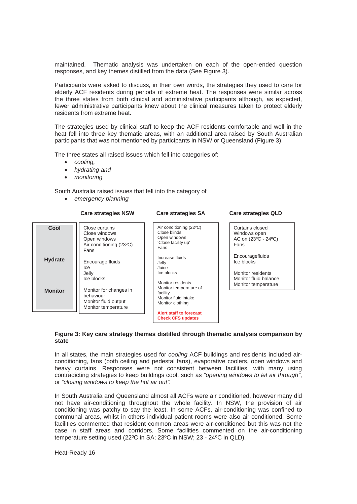maintained. Thematic analysis was undertaken on each of the open-ended question responses, and key themes distilled from the data (See Figure 3).

Participants were asked to discuss, in their own words, the strategies they used to care for elderly ACF residents during periods of extreme heat. The responses were similar across the three states from both clinical and administrative participants although, as expected, fewer administrative participants knew about the clinical measures taken to protect elderly residents from extreme heat.

The strategies used by clinical staff to keep the ACF residents comfortable and well in the heat fell into three key thematic areas, with an additional area raised by South Australian participants that was not mentioned by participants in NSW or Queensland (Figure 3).

The three states all raised issues which fell into categories of:

- x *cooling,*
- x *hydrating and*
- *monitoring*

South Australia raised issues that fell into the category of

x *emergency planning* 

#### **Care strategies NSW Care strategies SA Care strategies QLD**

Close curtains Close windows Open windows Air conditioning (23ºC) Fans Encourage fluids Ice Jelly Ice blocks Monitor for changes in behaviour Monitor fluid output Monitor temperature **Cool Hydrate Monitor**  Air conditioning (22ºC) Close blinds Open windows 'Close facility up' Fans Increase fluids Jelly Juice Ice blocks Monitor residents Monitor temperature of facility Monitor fluid intake Monitor clothing **Alert staff to forecast Check CFS updates**  Curtains closed Windows open AC on (23ºC - 24ºC) Fans Encouragefluids Ice blocks Monitor residents Monitor fluid balance Monitor temperature

#### **Figure 3: Key care strategy themes distilled through thematic analysis comparison by state**

In all states, the main strategies used for *cooling* ACF buildings and residents included airconditioning, fans (both ceiling and pedestal fans), evaporative coolers, open windows and heavy curtains. Responses were not consistent between facilities, with many using contradicting strategies to keep buildings cool, such as *"opening windows to let air through"*, or *"closing windows to keep the hot air out".*

In South Australia and Queensland almost all ACFs were air conditioned, however many did not have air-conditioning throughout the whole facility. In NSW, the provision of air conditioning was patchy to say the least. In some ACFs, air-conditioning was confined to communal areas, whilst in others individual patient rooms were also air-conditioned. Some facilities commented that resident common areas were air-conditioned but this was not the case in staff areas and corridors. Some facilities commented on the air-conditioning temperature setting used (22ºC in SA; 23ºC in NSW; 23 - 24ºC in QLD).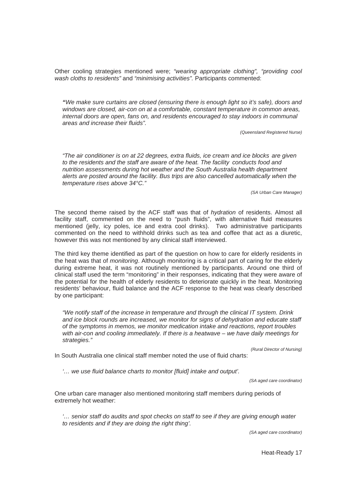Other cooling strategies mentioned were; *"wearing appropriate clothing", "providing cool wash cloths to residents"* and *"minimising activities".* Participants commented:

*"We make sure curtains are closed (ensuring there is enough light so it's safe), doors and windows are closed, air-con on at a comfortable, constant temperature in common areas, internal doors are open, fans on, and residents encouraged to stay indoors in communal areas and increase their fluids".* 

 *(Queensland Registered Nurse)* 

*"The air conditioner is on at 22 degrees, extra fluids, ice cream and ice blocks are given to the residents and the staff are aware of the heat. The facility conducts food and nutrition assessments during hot weather and the South Australia health department alerts are posted around the facility. Bus trips are also cancelled automatically when the temperature rises above 34°C."* 

*(SA Urban Care Manager)* 

The second theme raised by the ACF staff was that of *hydration* of residents. Almost all facility staff, commented on the need to "push fluids", with alternative fluid measures mentioned (jelly, icy poles, ice and extra cool drinks). Two administrative participants commented on the need to withhold drinks such as tea and coffee that act as a diuretic, however this was not mentioned by any clinical staff interviewed.

The third key theme identified as part of the question on how to care for elderly residents in the heat was that of *monitoring*. Although monitoring is a critical part of caring for the elderly during extreme heat, it was not routinely mentioned by participants. Around one third of clinical staff used the term "monitoring" in their responses, indicating that they were aware of the potential for the health of elderly residents to deteriorate quickly in the heat. Monitoring residents' behaviour, fluid balance and the ACF response to the heat was clearly described by one participant:

*"We notify staff of the increase in temperature and through the clinical IT system. Drink and ice block rounds are increased, we monitor for signs of dehydration and educate staff of the symptoms in memos, we monitor medication intake and reactions, report troubles with air-con and cooling immediately. If there is a heatwave – we have daily meetings for strategies."* 

*(Rural Director of Nursing)* 

In South Australia one clinical staff member noted the use of fluid charts:

*'… we use fluid balance charts to monitor [fluid] intake and output'.* 

*(SA aged care coordinator)* 

One urban care manager also mentioned monitoring staff members during periods of extremely hot weather:

*'… senior staff do audits and spot checks on staff to see if they are giving enough water to residents and if they are doing the right thing'.* 

*(SA aged care coordinator)* 

Heat-Ready 17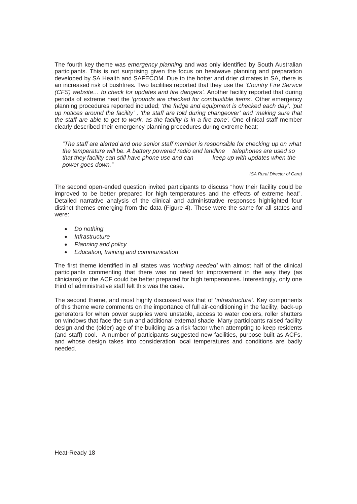The fourth key theme was *emergency planning* and was only identified by South Australian participants. This is not surprising given the focus on heatwave planning and preparation developed by SA Health and SAFECOM. Due to the hotter and drier climates in SA, there is an increased risk of bushfires. Two facilities reported that they use the *'Country Fire Service (CFS) website… to check for updates and fire dangers'.* Another facility reported that during periods of extreme heat the *'grounds are checked for combustible items'.* Other emergency planning procedures reported included; *'the fridge and equipment is checked each day', 'put up notices around the facility' , 'the staff are told during changeover' and 'making sure that the staff are able to get to work, as the facility is in a fire zone'.* One clinical staff member clearly described their emergency planning procedures during extreme heat;

*"The staff are alerted and one senior staff member is responsible for checking up on what the temperature will be. A battery powered radio and landline telephones are used so that they facility can still have phone use and can keep up with updates when the power goes down."* 

 *(SA Rural Director of Care)* 

The second open-ended question invited participants to discuss "how their facility could be improved to be better prepared for high temperatures and the effects of extreme heat". Detailed narrative analysis of the clinical and administrative responses highlighted four distinct themes emerging from the data (Figure 4). These were the same for all states and were:

- x *Do nothing*
- x *Infrastructure*
- x *Planning and policy*
- x *Education, training and communication*

The first theme identified in all states was *'nothing needed'* with almost half of the clinical participants commenting that there was no need for improvement in the way they (as clinicians) or the ACF could be better prepared for high temperatures. Interestingly, only one third of administrative staff felt this was the case.

The second theme, and most highly discussed was that of '*infrastructure'*. Key components of this theme were comments on the importance of full air-conditioning in the facility, back-up generators for when power supplies were unstable, access to water coolers, roller shutters on windows that face the sun and additional external shade. Many participants raised facility design and the (older) age of the building as a risk factor when attempting to keep residents (and staff) cool. A number of participants suggested new facilities, purpose-built as ACFs, and whose design takes into consideration local temperatures and conditions are badly needed.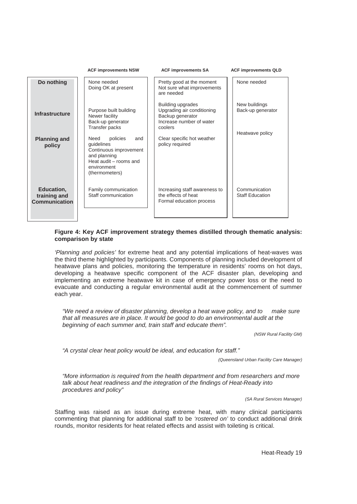|                                             | <b>ACF improvements NSW</b>                                                                                                                | <b>ACF improvements SA</b>                                                                                 | <b>ACF improvements QLD</b>             |  |
|---------------------------------------------|--------------------------------------------------------------------------------------------------------------------------------------------|------------------------------------------------------------------------------------------------------------|-----------------------------------------|--|
| Do nothing                                  | None needed<br>Doing OK at present                                                                                                         | Pretty good at the moment<br>Not sure what improvements<br>are needed                                      | None needed                             |  |
| <b>Infrastructure</b>                       | Purpose built building<br>Newer facility<br>Back-up generator<br>Transfer packs                                                            | Building upgrades<br>Upgrading air conditioning<br>Backup generator<br>Increase number of water<br>coolers | New buildings<br>Back-up generator      |  |
| <b>Planning and</b><br>policy               | Need<br>policies<br>and<br>quidelines<br>Continuous improvement<br>and planning<br>Heat audit - rooms and<br>environment<br>(thermometers) | Clear specific hot weather<br>policy required                                                              | Heatwave policy                         |  |
| Education,<br>training and<br>Communication | Family communication<br>Staff communication                                                                                                | Increasing staff awareness to<br>the effects of heat<br>Formal education process                           | Communication<br><b>Staff Education</b> |  |

#### **Figure 4: Key ACF improvement strategy themes distilled through thematic analysis: comparison by state**

*'Planning and policies'* for extreme heat and any potential implications of heat-waves was the third theme highlighted by participants. Components of planning included development of heatwave plans and policies, monitoring the temperature in residents' rooms on hot days, developing a heatwave specific component of the ACF disaster plan, developing and implementing an extreme heatwave kit in case of emergency power loss or the need to evacuate and conducting a regular environmental audit at the commencement of summer each year.

*"We need a review of disaster planning, develop a heat wave policy, and to make sure that all measures are in place. It would be good to do an environmental audit at the beginning of each summer and, train staff and educate them".* 

*(NSW Rural Facility GM)* 

*"A crystal clear heat policy would be ideal, and education for staff."* 

 *(Queensland Urban Facility Care Manager)* 

*"More information is required from the health department and from researchers and more talk about heat readiness and the integration of the findings of Heat-Ready into procedures and policy"* 

*(SA Rural Services Manager)* 

Staffing was raised as an issue during extreme heat, with many clinical participants commenting that planning for additional staff to be *'rostered on'* to conduct additional drink rounds, monitor residents for heat related effects and assist with toileting is critical.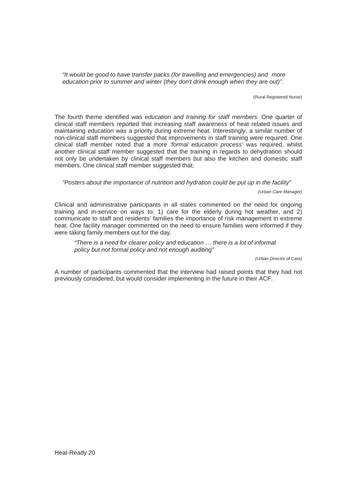*"It would be good to have transfer packs (for travelling and emergencies) and more education prior to summer and winter (they don't drink enough when they are out)".* 

(Rural Registered Nurse)

The fourth theme identified was *education and training for staff members.* One quarter of clinical staff members reported that increasing staff awareness of heat related issues and maintaining education was a priority during extreme heat. Interestingly, a similar number of non-clinical staff members suggested that improvements in staff training were required. One clinical staff member noted that a more *'formal education process'* was required, whilst another clinical staff member suggested that the training in regards to dehydration should not only be undertaken by clinical staff members but also the kitchen and domestic staff members. One clinical staff member suggested that;

*"Posters about the importance of nutrition and hydration could be put up in the facility"* 

*(Urban Care Manager)* 

Clinical and administrative participants in all states commented on the need for ongoing training and in-service on ways to: 1) care for the elderly during hot weather, and 2) communicate to staff and residents' families the importance of risk management in extreme heat. One facility manager commented on the need to ensure families were informed if they were taking family members out for the day.

 *"There is a need for clearer policy and education … there is a lot of informal policy but not formal policy and not enough auditing"* 

*(Urban Director of Care)* 

A number of participants commented that the interview had raised points that they had not previously considered, but would consider implementing in the future in their ACF.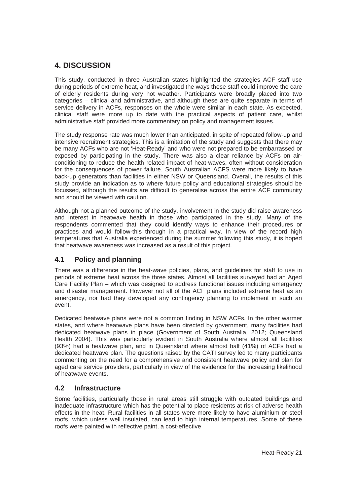## **4. DISCUSSION**

This study, conducted in three Australian states highlighted the strategies ACF staff use during periods of extreme heat, and investigated the ways these staff could improve the care of elderly residents during very hot weather. Participants were broadly placed into two categories – clinical and administrative, and although these are quite separate in terms of service delivery in ACFs, responses on the whole were similar in each state. As expected, clinical staff were more up to date with the practical aspects of patient care, whilst administrative staff provided more commentary on policy and management issues.

The study response rate was much lower than anticipated, in spite of repeated follow-up and intensive recruitment strategies. This is a limitation of the study and suggests that there may be many ACFs who are not 'Heat-Ready' and who were not prepared to be embarrassed or exposed by participating in the study. There was also a clear reliance by ACFs on airconditioning to reduce the health related impact of heat-waves, often without consideration for the consequences of power failure. South Australian ACFS were more likely to have back-up generators than facilities in either NSW or Queensland. Overall, the results of this study provide an indication as to where future policy and educational strategies should be focussed, although the results are difficult to generalise across the entire ACF community and should be viewed with caution.

Although not a planned outcome of the study, involvement in the study did raise awareness and interest in heatwave health in those who participated in the study. Many of the respondents commented that they could identify ways to enhance their procedures or practices and would follow-this through in a practical way. In view of the record high temperatures that Australia experienced during the summer following this study, it is hoped that heatwave awareness was increased as a result of this project.

## **4.1 Policy and planning**

There was a difference in the heat-wave policies, plans, and guidelines for staff to use in periods of extreme heat across the three states. Almost all facilities surveyed had an Aged Care Facility Plan – which was designed to address functional issues including emergency and disaster management. However not all of the ACF plans included extreme heat as an emergency, nor had they developed any contingency planning to implement in such an event.

Dedicated heatwave plans were not a common finding in NSW ACFs. In the other warmer states, and where heatwave plans have been directed by government, many facilities had dedicated heatwave plans in place (Government of South Australia, 2012; Queensland Health 2004). This was particularly evident in South Australia where almost all facilities (93%) had a heatwave plan, and in Queensland where almost half (41%) of ACFs had a dedicated heatwave plan. The questions raised by the CATI survey led to many participants commenting on the need for a comprehensive and consistent heatwave policy and plan for aged care service providers, particularly in view of the evidence for the increasing likelihood of heatwave events.

## **4.2 Infrastructure**

Some facilities, particularly those in rural areas still struggle with outdated buildings and inadequate infrastructure which has the potential to place residents at risk of adverse health effects in the heat. Rural facilities in all states were more likely to have aluminium or steel roofs, which unless well insulated, can lead to high internal temperatures. Some of these roofs were painted with reflective paint, a cost-effective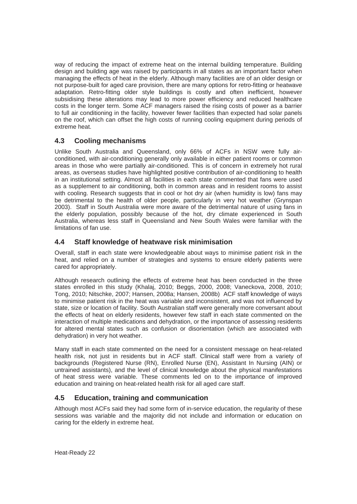way of reducing the impact of extreme heat on the internal building temperature. Building design and building age was raised by participants in all states as an important factor when managing the effects of heat in the elderly. Although many facilities are of an older design or not purpose-built for aged care provision, there are many options for retro-fitting or heatwave adaptation. Retro-fitting older style buildings is costly and often inefficient, however subsidising these alterations may lead to more power efficiency and reduced healthcare costs in the longer term. Some ACF managers raised the rising costs of power as a barrier to full air conditioning in the facility, however fewer facilities than expected had solar panels on the roof, which can offset the high costs of running cooling equipment during periods of extreme heat.

## **4.3 Cooling mechanisms**

Unlike South Australia and Queensland, only 66% of ACFs in NSW were fully airconditioned, with air-conditioning generally only available in either patient rooms or common areas in those who were partially air-conditioned. This is of concern in extremely hot rural areas, as overseas studies have highlighted positive contribution of air-conditioning to health in an institutional setting. Almost all facilities in each state commented that fans were used as a supplement to air conditioning, both in common areas and in resident rooms to assist with cooling. Research suggests that in cool or hot dry air (when humidity is low) fans may be detrimental to the health of older people, particularly in very hot weather (Grynspan 2003). Staff in South Australia were more aware of the detrimental nature of using fans in the elderly population, possibly because of the hot, dry climate experienced in South Australia, whereas less staff in Queensland and New South Wales were familiar with the limitations of fan use.

## **4.4 Staff knowledge of heatwave risk minimisation**

Overall, staff in each state were knowledgeable about ways to minimise patient risk in the heat, and relied on a number of strategies and systems to ensure elderly patients were cared for appropriately.

Although research outlining the effects of extreme heat has been conducted in the three states enrolled in this study (Khalaj, 2010; Beggs, 2000, 2008; Vaneckova, 2008, 2010; Tong, 2010; Nitschke, 2007; Hansen, 2008a; Hansen, 2008b) ACF staff knowledge of ways to minimise patient risk in the heat was variable and inconsistent, and was not influenced by state, size or location of facility. South Australian staff were generally more conversant about the effects of heat on elderly residents, however few staff in each state commented on the interaction of multiple medications and dehydration, or the importance of assessing residents for altered mental states such as confusion or disorientation (which are associated with dehydration) in very hot weather.

Many staff in each state commented on the need for a consistent message on heat-related health risk, not just in residents but in ACF staff. Clinical staff were from a variety of backgrounds (Registered Nurse (RN), Enrolled Nurse (EN), Assistant In Nursing (AIN) or untrained assistants), and the level of clinical knowledge about the physical manifestations of heat stress were variable. These comments led on to the importance of improved education and training on heat-related health risk for all aged care staff.

## **4.5 Education, training and communication**

Although most ACFs said they had some form of in-service education, the regularity of these sessions was variable and the majority did not include and information or education on caring for the elderly in extreme heat.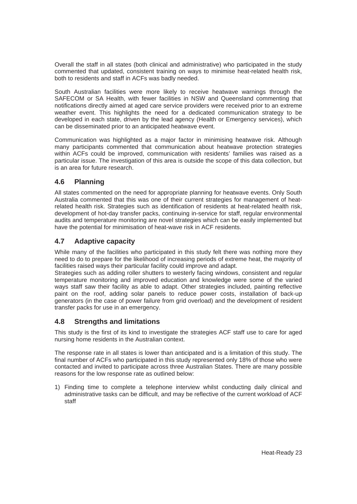Overall the staff in all states (both clinical and administrative) who participated in the study commented that updated, consistent training on ways to minimise heat-related health risk, both to residents and staff in ACFs was badly needed.

South Australian facilities were more likely to receive heatwave warnings through the SAFECOM or SA Health, with fewer facilities in NSW and Queensland commenting that notifications directly aimed at aged care service providers were received prior to an extreme weather event. This highlights the need for a dedicated communication strategy to be developed in each state, driven by the lead agency (Health or Emergency services), which can be disseminated prior to an anticipated heatwave event.

Communication was highlighted as a major factor in minimising heatwave risk. Although many participants commented that communication about heatwave protection strategies within ACFs could be improved, communication with residents' families was raised as a particular issue. The investigation of this area is outside the scope of this data collection, but is an area for future research.

## **4.6 Planning**

All states commented on the need for appropriate planning for heatwave events. Only South Australia commented that this was one of their current strategies for management of heatrelated health risk. Strategies such as identification of residents at heat-related health risk, development of hot-day transfer packs, continuing in-service for staff, regular environmental audits and temperature monitoring are novel strategies which can be easily implemented but have the potential for minimisation of heat-wave risk in ACF residents.

## **4.7 Adaptive capacity**

While many of the facilities who participated in this study felt there was nothing more they need to do to prepare for the likelihood of increasing periods of extreme heat, the majority of facilities raised ways their particular facility could improve and adapt.

Strategies such as adding roller shutters to westerly facing windows, consistent and regular temperature monitoring and improved education and knowledge were some of the varied ways staff saw their facility as able to adapt. Other strategies included, painting reflective paint on the roof, adding solar panels to reduce power costs, installation of back-up generators (in the case of power failure from grid overload) and the development of resident transfer packs for use in an emergency.

## **4.8 Strengths and limitations**

This study is the first of its kind to investigate the strategies ACF staff use to care for aged nursing home residents in the Australian context.

The response rate in all states is lower than anticipated and is a limitation of this study. The final number of ACFs who participated in this study represented only 18% of those who were contacted and invited to participate across three Australian States. There are many possible reasons for the low response rate as outlined below:

1) Finding time to complete a telephone interview whilst conducting daily clinical and administrative tasks can be difficult, and may be reflective of the current workload of ACF staff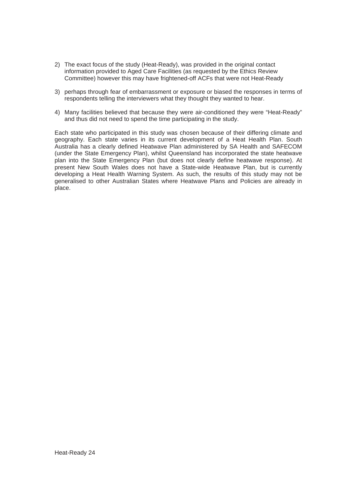- 2) The exact focus of the study (Heat-Ready), was provided in the original contact information provided to Aged Care Facilities (as requested by the Ethics Review Committee) however this may have frightened-off ACFs that were not Heat-Ready
- 3) perhaps through fear of embarrassment or exposure or biased the responses in terms of respondents telling the interviewers what they thought they wanted to hear.
- 4) Many facilities believed that because they were air-conditioned they were "Heat-Ready" and thus did not need to spend the time participating in the study.

Each state who participated in this study was chosen because of their differing climate and geography. Each state varies in its current development of a Heat Health Plan. South Australia has a clearly defined Heatwave Plan administered by SA Health and SAFECOM (under the State Emergency Plan), whilst Queensland has incorporated the state heatwave plan into the State Emergency Plan (but does not clearly define heatwave response). At present New South Wales does not have a State-wide Heatwave Plan, but is currently developing a Heat Health Warning System. As such, the results of this study may not be generalised to other Australian States where Heatwave Plans and Policies are already in place.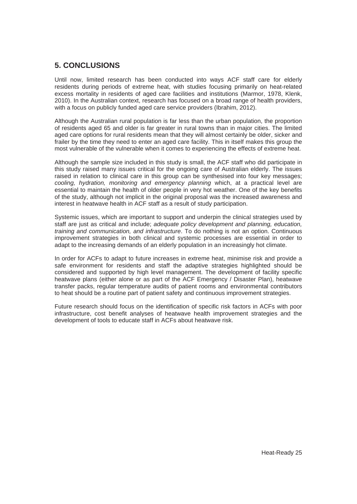## **5. CONCLUSIONS**

Until now, limited research has been conducted into ways ACF staff care for elderly residents during periods of extreme heat, with studies focusing primarily on heat-related excess mortality in residents of aged care facilities and institutions (Marmor, 1978, Klenk, 2010). In the Australian context, research has focused on a broad range of health providers, with a focus on publicly funded aged care service providers (Ibrahim, 2012).

Although the Australian rural population is far less than the urban population, the proportion of residents aged 65 and older is far greater in rural towns than in major cities. The limited aged care options for rural residents mean that they will almost certainly be older, sicker and frailer by the time they need to enter an aged care facility. This in itself makes this group the most vulnerable of the vulnerable when it comes to experiencing the effects of extreme heat.

Although the sample size included in this study is small, the ACF staff who did participate in this study raised many issues critical for the ongoing care of Australian elderly. The issues raised in relation to clinical care in this group can be synthesised into four key messages; *cooling, hydration, monitoring and emergency planning* which, at a practical level are essential to maintain the health of older people in very hot weather. One of the key benefits of the study, although not implicit in the original proposal was the increased awareness and interest in heatwave health in ACF staff as a result of study participation.

Systemic issues, which are important to support and underpin the clinical strategies used by staff are just as critical and include; *adequate policy development and planning, education, training and communication, and infrastructure*. To do nothing is not an option. Continuous improvement strategies in both clinical and systemic processes are essential in order to adapt to the increasing demands of an elderly population in an increasingly hot climate.

In order for ACFs to adapt to future increases in extreme heat, minimise risk and provide a safe environment for residents and staff the adaptive strategies highlighted should be considered and supported by high level management. The development of facility specific heatwave plans (either alone or as part of the ACF Emergency / Disaster Plan), heatwave transfer packs, regular temperature audits of patient rooms and environmental contributors to heat should be a routine part of patient safety and continuous improvement strategies.

Future research should focus on the identification of specific risk factors in ACFs with poor infrastructure, cost benefit analyses of heatwave health improvement strategies and the development of tools to educate staff in ACFs about heatwave risk.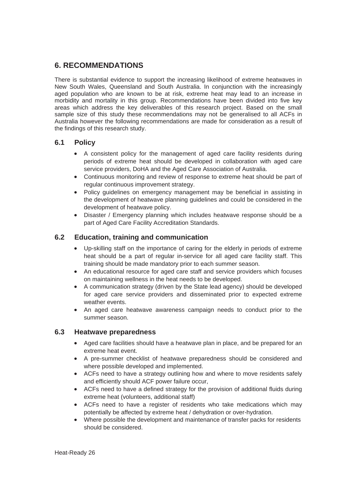## **6. RECOMMENDATIONS**

There is substantial evidence to support the increasing likelihood of extreme heatwaves in New South Wales, Queensland and South Australia. In conjunction with the increasingly aged population who are known to be at risk, extreme heat may lead to an increase in morbidity and mortality in this group. Recommendations have been divided into five key areas which address the key deliverables of this research project. Based on the small sample size of this study these recommendations may not be generalised to all ACFs in Australia however the following recommendations are made for consideration as a result of the findings of this research study.

#### **6.1 Policy**

- A consistent policy for the management of aged care facility residents during periods of extreme heat should be developed in collaboration with aged care service providers, DoHA and the Aged Care Association of Australia.
- Continuous monitoring and review of response to extreme heat should be part of regular continuous improvement strategy.
- Policy guidelines on emergency management may be beneficial in assisting in the development of heatwave planning guidelines and could be considered in the development of heatwave policy.
- Disaster / Emergency planning which includes heatwave response should be a part of Aged Care Facility Accreditation Standards.

## **6.2 Education, training and communication**

- Up-skilling staff on the importance of caring for the elderly in periods of extreme heat should be a part of regular in-service for all aged care facility staff. This training should be made mandatory prior to each summer season.
- An educational resource for aged care staff and service providers which focuses on maintaining wellness in the heat needs to be developed.
- A communication strategy (driven by the State lead agency) should be developed for aged care service providers and disseminated prior to expected extreme weather events.
- An aged care heatwave awareness campaign needs to conduct prior to the summer season.

#### **6.3 Heatwave preparedness**

- Aged care facilities should have a heatwave plan in place, and be prepared for an extreme heat event.
- A pre-summer checklist of heatwave preparedness should be considered and where possible developed and implemented.
- ACFs need to have a strategy outlining how and where to move residents safely and efficiently should ACF power failure occur,
- ACFs need to have a defined strategy for the provision of additional fluids during extreme heat (volunteers, additional staff)
- ACFs need to have a register of residents who take medications which may potentially be affected by extreme heat / dehydration or over-hydration.
- Where possible the development and maintenance of transfer packs for residents should be considered.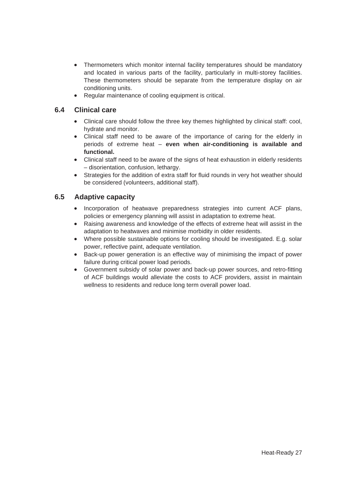- Thermometers which monitor internal facility temperatures should be mandatory and located in various parts of the facility, particularly in multi-storey facilities. These thermometers should be separate from the temperature display on air conditioning units.
- Regular maintenance of cooling equipment is critical.

## **6.4 Clinical care**

- Clinical care should follow the three key themes highlighted by clinical staff: cool, hydrate and monitor.
- Clinical staff need to be aware of the importance of caring for the elderly in periods of extreme heat – **even when air-conditioning is available and functional.**
- Clinical staff need to be aware of the signs of heat exhaustion in elderly residents – disorientation, confusion, lethargy.
- Strategies for the addition of extra staff for fluid rounds in very hot weather should be considered (volunteers, additional staff).

## **6.5 Adaptive capacity**

- Incorporation of heatwave preparedness strategies into current ACF plans, policies or emergency planning will assist in adaptation to extreme heat.
- Raising awareness and knowledge of the effects of extreme heat will assist in the adaptation to heatwaves and minimise morbidity in older residents.
- Where possible sustainable options for cooling should be investigated. E.g. solar power, reflective paint, adequate ventilation.
- Back-up power generation is an effective way of minimising the impact of power failure during critical power load periods.
- Government subsidy of solar power and back-up power sources, and retro-fitting of ACF buildings would alleviate the costs to ACF providers, assist in maintain wellness to residents and reduce long term overall power load.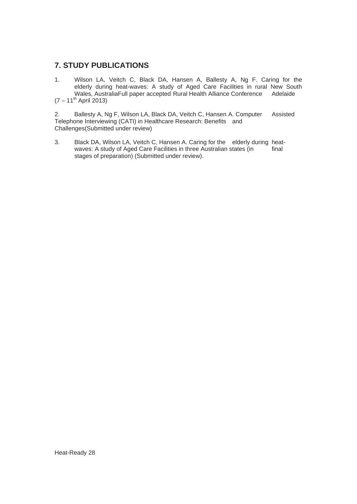## **7. STUDY PUBLICATIONS**

1. Wilson LA, Veitch C, Black DA, Hansen A, Ballesty A, Ng F. Caring for the elderly during heat-waves: A study of Aged Care Facilities in rural New South Wales, AustraliaFull paper accepted Rural Health Alliance Conference Adelaide  $(7 - 11^{th}$  April 2013)

2. Ballesty A, Ng F, Wilson LA, Black DA, Veitch C, Hansen A. Computer Assisted Telephone Interviewing (CATI) in Healthcare Research: Benefits and Challenges(Submitted under review)

3. Black DA, Wilson LA, Veitch C, Hansen A. Caring for the elderly during heat-<br>waves: A study of Aged Care Facilities in three Australian states (in final waves: A study of Aged Care Facilities in three Australian states (in stages of preparation) (Submitted under review).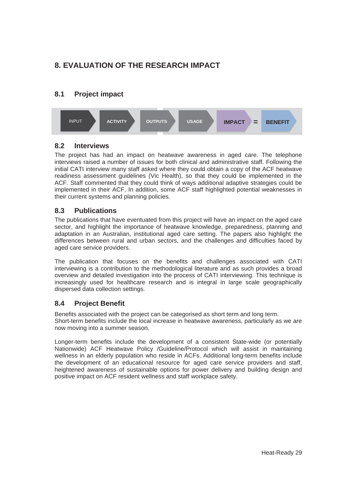## **8. EVALUATION OF THE RESEARCH IMPACT**

## **8.1 Project impact**



## **8.2 Interviews**

The project has had an impact on heatwave awareness in aged care. The telephone interviews raised a number of issues for both clinical and administrative staff. Following the initial CATI interview many staff asked where they could obtain a copy of the ACF heatwave readiness assessment guidelines (Vic Health), so that they could be implemented in the ACF. Staff commented that they could think of ways additional adaptive strategies could be implemented in their ACF. In addition, some ACF staff highlighted potential weaknesses in their current systems and planning policies.

## **8.3 Publications**

The publications that have eventuated from this project will have an impact on the aged care sector, and highlight the importance of heatwave knowledge, preparedness, planning and adaptation in an Australian, institutional aged care setting. The papers also highlight the differences between rural and urban sectors, and the challenges and difficulties faced by aged care service providers.

The publication that focuses on the benefits and challenges associated with CATI interviewing is a contribution to the methodological literature and as such provides a broad overview and detailed investigation into the process of CATI interviewing. This technique is increasingly used for healthcare research and is integral in large scale geographically dispersed data collection settings.

## **8.4 Project Benefit**

Benefits associated with the project can be categorised as short term and long term. Short-term benefits include the local increase in heatwave awareness, particularly as we are now moving into a summer season.

Longer-term benefits include the development of a consistent State-wide (or potentially Nationwide) ACF Heatwave Policy /Guideline/Protocol which will assist in maintaining wellness in an elderly population who reside in ACFs. Additional long-term benefits include the development of an educational resource for aged care service providers and staff, heightened awareness of sustainable options for power delivery and building design and positive impact on ACF resident wellness and staff workplace safety.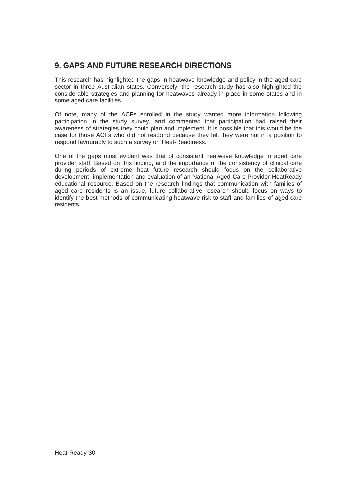## **9. GAPS AND FUTURE RESEARCH DIRECTIONS**

This research has highlighted the gaps in heatwave knowledge and policy in the aged care sector in three Australian states. Conversely, the research study has also highlighted the considerable strategies and planning for heatwaves already in place in some states and in some aged care facilities.

Of note, many of the ACFs enrolled in the study wanted more information following participation in the study survey, and commented that participation had raised their awareness of strategies they could plan and implement. It is possible that this would be the case for those ACFs who did not respond because they felt they were not in a position to respond favourably to such a survey on Heat-Readiness.

One of the gaps most evident was that of consistent heatwave knowledge in aged care provider staff. Based on this finding, and the importance of the consistency of clinical care during periods of extreme heat future research should focus on the collaborative development, implementation and evaluation of an National Aged Care Provider HeatReady educational resource. Based on the research findings that communication with families of aged care residents is an issue, future collaborative research should focus on ways to identify the best methods of communicating heatwave risk to staff and families of aged care residents.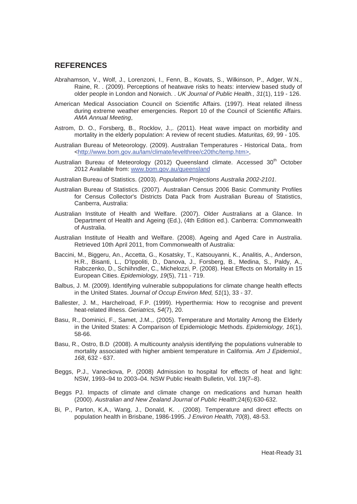#### **REFERENCES**

- Abrahamson, V., Wolf, J., Lorenzoni, I., Fenn, B., Kovats, S., Wilkinson, P., Adger, W.N., Raine, R. . (2009). Perceptions of heatwave risks to heats: interview based study of older people in London and Norwich. . *UK Journal of Public Health., 31*(1), 119 - 126.
- American Medical Association Council on Scientific Affairs. (1997). Heat related illness during extreme weather emergencies. Report 10 of the Council of Scientific Affairs. *AMA Annual Meeting*,
- Astrom, D. O., Forsberg, B., Rocklov, J.,. (2011). Heat wave impact on morbidity and mortality in the elderly population: A review of recent studies. *Maturitas, 69*, 99 - 105.
- Australian Bureau of Meteorology. (2009). Australian Temperatures Historical Data,. from <http://www.bom.gov.au/lam/climate/levelthree/c20thc/temp.htm>,
- Australian Bureau of Meteorology (2012) Queensland climate. Accessed 30<sup>th</sup> October 2012 Available from: www.bom.gov.au/queensland
- Australian Bureau of Statistics. (2003). *Population Projections Australia 2002-2101*.
- Australian Bureau of Statistics. (2007). Australian Census 2006 Basic Community Profiles for Census Collector's Districts Data Pack from Australian Bureau of Statistics, Canberra, Australia:
- Australian Institute of Health and Welfare. (2007). Older Australians at a Glance. In Department of Health and Ageing (Ed.), (4th Edition ed.). Canberra: Commonwealth of Australia.
- Australian Institute of Health and Welfare. (2008). Ageing and Aged Care in Australia. Retrieved 10th April 2011, from Commonwealth of Australia:
- Baccini, M., Biggeru, An., Accetta, G., Kosatsky, T., Katsouyanni, K., Analitis, A., Anderson, H.R., Bisanti, L., D'Ippoliti, D., Danova, J., Forsberg, B., Medina, S., Paldy, A., Rabczenko, D., Schiihndler, C., Michelozzi, P. (2008). Heat Effects on Mortality in 15 European Cities. *Epidemiology, 19*(5), 711 - 719.
- Balbus, J. M. (2009). Identifying vulnerable subpopulations for climate change health effects in the United States. *Journal of Occup Environ Med, 51*(1), 33 - 37.
- Ballester, J. M., Harchelroad, F.P. (1999). Hyperthermia: How to recognise and prevent heat-related illness. *Geriatrics, 54*(7), 20.
- Basu, R., Dominici, F., Samet, J.M.,. (2005). Temperature and Mortality Among the Elderly in the United States: A Comparison of Epidemiologic Methods. *Epidemiology, 16*(1), 58-66.
- Basu, R., Ostro, B.D (2008). A multicounty analysis identifying the populations vulnerable to mortality associated with higher ambient temperature in California. *Am J Epidemiol., 168*, 632 - 637.
- Beggs, P.J., Vaneckova, P. (2008) Admission to hospital for effects of heat and light: NSW, 1993–94 to 2003–04. NSW Public Health Bulletin, Vol. 19(7–8).
- Beggs PJ. Impacts of climate and climate change on medications and human health (2000). *Australian and New Zealand Journal of Public Health*;24(6):630-632.
- Bi, P., Parton, K.A., Wang, J., Donald, K. . (2008). Temperature and direct effects on population health in Brisbane, 1986-1995. *J Environ Health, 70*(8), 48-53.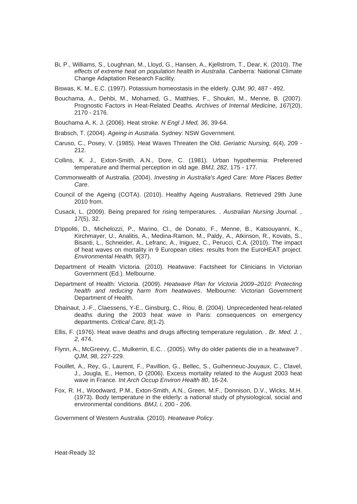Bi, P., Williams, S., Loughnan, M., Lloyd, G., Hansen, A., Kjellstrom, T., Dear, K. (2010). *The effects of extreme heat on population health in Australia*. Canberra: National Climate Change Adaptation Research Facility.

Biswas, K. M., E.C. (1997). Potassium homeostasis in the elderly. *QJM, 90*, 487 - 492.

- Bouchama, A., Dehbi, M., Mohamed, G., Matthies, F., Shoukri, M., Menne, B. (2007). Prognostic Factors in Heat-Related Deaths. *Archives of Internal Medicine, 167*(20), 2170 - 2176.
- Bouchama A, K. J. (2006). Heat stroke. *N Engl J Med, 36*, 39-64.
- Brabsch, T. (2004). *Ageing in Australia*. Sydney: NSW Government.
- Caruso, C., Posey, V. (1985). Heat Waves Threaten the Old. *Geriatric Nursing, 6*(4), 209 212.
- Collins, K. J., Exton-Smith, A.N., Dore, C. (1981). Urban hypothermia: Preferered temperature and thermal perception in old age. *BMJ, 282*, 175 - 177.
- Commonwealth of Australia. (2004). *Investing in Australia's Aged Care: More Places Better Care*.
- Council of the Ageing (COTA). (2010). Healthy Ageing Australians. Retrieved 29th June 2010 from.
- Cusack, L. (2009). Being prepared for rising temperatures. . *Australian Nursing Journal. , 17*(5), 32.
- D'Ippoliti, D., Michelozzi, P., Marino, Cl., de Donato, F., Menne, B., Katsouyanni, K., Kirchmayer, U., Analitis, A., Medina-Ramon, M., Paldy, A., Atkinson, R., Kovats, S., Bisanti, L., Schneider, A., Lefranc, A., Iniguez, C., Perucci, C.A. (2010). The impact of heat waves on mortality in 9 European cities: results from the EuroHEAT project. *Environmental Health, 9*(37).
- Department of Health Victoria. (2010). Heatwave: Factsheet for Clinicians In Victorian Government (Ed.). Melbourne.
- Department of Health: Victoria. (2009). *Heatwave Plan for Victoria 2009–2010: Protecting health and reducing harm from heatwaves*. Melbourne: Victorian Government Department of Health.
- Dhainaut, J.-F., Claessens, Y-E., Ginsburg, C., Riou, B. (2004). Unprecedented heat-related deaths during the 2003 heat wave in Paris: consequences on emergency departments. *Critical Care, 8*(1-2).
- Ellis, F. (1976). Heat wave deaths and drugs affecting temperature regulation. . *Br. Med. J. , 2*, 474.
- Flynn, A., McGreevy, C., Mulkerrin, E.C. . (2005). Why do older patients die in a heatwave? . *QJM, 98*, 227-229.
- Fouillet, A., Rey, G., Laurent, F., Pavillion, G., Bellec, S., Guihenneuc-Jouyaux, C., Clavel, J., Jougla, E., Hemon, D (2006). Excess mortality related to the August 2003 heat wave in France. *Int Arch Occup Environ Health 80*, 16-24.
- Fox, R. H., Woodward, P.M., Exton-Smith, A.N., Green, M.F., Donnison, D.V., Wicks, M.H. (1973). Body temperature in the elderly: a national study of physiological, social and environmental conditions. *BMJ, i*, 200 - 206.

Government of Western Australia. (2010). *Heatwave Policy*.

Heat-Ready 32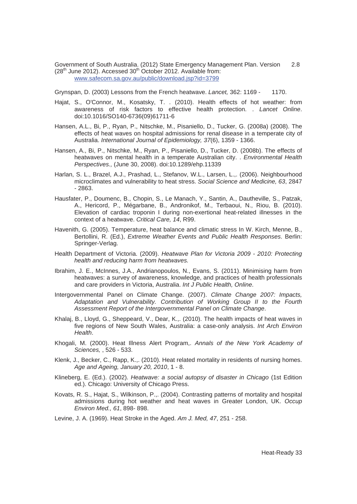Government of South Australia. (2012) State Emergency Management Plan. Version 2.8  $(28<sup>th</sup>$  June 2012). Accessed  $30<sup>th</sup>$  October 2012. Available from: www.safecom.sa.gov.au/public/download.jsp?id=3799

Grynspan, D. (2003) Lessons from the French heatwave. *Lancet,* 362: 1169 - 1170.

- Hajat, S., O'Connor, M., Kosatsky, T. . (2010). Health effects of hot weather: from awareness of risk factors to effective health protection. . *Lancet Online*. doi:10.1016/SO140-6736(09)61711-6
- Hansen, A.L., Bi, P., Ryan, P., Nitschke, M., Pisaniello, D., Tucker, G. (2008a) (2008). The effects of heat waves on hospital admissions for renal disease in a temperate city of Australia. *International Journal of Epidemiology, 37*(6), 1359 - 1366.
- Hansen, A., Bi, P., Nitschke, M., Ryan, P., Pisaniello, D., Tucker, D. (2008b). The effects of heatwaves on mental health in a temperate Australian city. . *Environmental Health Perspectives.,* (June 30, 2008). doi:10.1289/ehp.11339
- Harlan, S. L., Brazel, A.J., Prashad, L., Stefanov, W.L., Larsen, L.,. (2006). Neighbourhood microclimates and vulnerability to heat stress. *Social Science and Medicine, 63*, 2847 - 2863.
- Hausfater, P., Doumenc, B., Chopin, S., Le Manach, Y., Santin, A., Dautheville, S., Patzak, A., Hericord, P., Mégarbane, B., Andronikof, M., Terbaoui, N., Riou, B. (2010). Elevation of cardiac troponin I during non-exertional heat-related illnesses in the context of a heatwave. *Critical Care, 14*, R99.
- Havenith, G. (2005). Temperature, heat balance and climatic stress In W. Kirch, Menne, B., Bertollini, R. (Ed.), *Extreme Weather Events and Public Health Responses*. Berlin: Springer-Verlag.
- Health Department of Victoria. (2009). *Heatwave Plan for Victoria 2009 2010: Protecting health and reducing harm from heatwaves.*
- Ibrahim, J. E., McInnes, J.A., Andrianopoulos, N., Evans, S. (2011). Minimising harm from heatwaves: a survey of awareness, knowledge, and practices of health professionals and care providers in Victoria, Australia. *Int J Public Health, Online*.
- Intergovernmental Panel on Climate Change. (2007). *Climate Change 2007: Impacts, Adaptation and Vulnerability. Contribution of Working Group II to the Fourth Assessment Report of the Intergovernmental Panel on Climate Change*.
- Khalaj, B., Lloyd, G., Sheppeard, V., Dear, K.,. (2010). The health impacts of heat waves in five regions of New South Wales, Australia: a case-only analysis. *Int Arch Environ Health*.
- Khogali, M. (2000). Heat Illness Alert Program,. *Annals of the New York Academy of Sciences,* , 526 - 533.
- Klenk, J., Becker, C., Rapp, K.,. (2010). Heat related mortality in residents of nursing homes. *Age and Ageing, January 20, 2010*, 1 - 8.
- Klineberg, E. (Ed.). (2002). *Heatwave: a social autopsy of disaster in Chicago* (1st Edition ed.). Chicago: University of Chicago Press.
- Kovats, R. S., Hajat, S., Wilkinson, P.,. (2004). Contrasting patterns of mortality and hospital admissions during hot weather and heat waves in Greater London, UK. *Occup Environ Med., 61*, 898- 898.

Levine, J. A. (1969). Heat Stroke in the Aged. *Am J. Med, 47*, 251 - 258.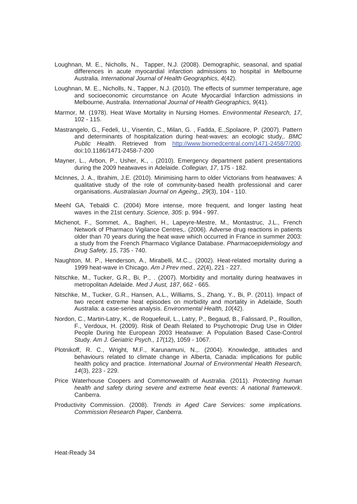- Loughnan, M. E., Nicholls, N., Tapper, N.J. (2008). Demographic, seasonal, and spatial differences in acute myocardial infarction admissions to hospital in Melbourne Australia. *International Journal of Health Geographics, 4*(42).
- Loughnan, M. E., Nicholls, N., Tapper, N.J. (2010). The effects of summer temperature, age and socioeconomic circumstance on Acute Myocardial Infarction admissions in Melbourne, Australia. *International Journal of Health Geographics, 9*(41).
- Marmor, M. (1978). Heat Wave Mortality in Nursing Homes. *Environmental Research, 17*, 102 - 115.
- Mastrangelo, G., Fedeli, U., Visentin, C., Milan, G. , Fadda, E.,Spolaore, P. (2007). Pattern and determinants of hospitalization during heat-waves: an ecologic study,. *BMC Public Health*. Retrieved from http://www.biomedcentral.com/1471-2458/7/200. doi:10.1186/1471-2458-7-200
- Mayner, L., Arbon, P., Usher, K., . (2010). Emergency department patient presentations during the 2009 heatwaves in Adelaide. *Collegian, 17*, 175 - 182.
- McInnes, J. A., Ibrahim, J.E. (2010). Minimising harm to older Victorians from heatwaves: A qualitative study of the role of community-based health professional and carer organisations. *Australasian Journal on Ageing,, 29*(3), 104 - 110.
- Meehl GA, Tebaldi C. (2004) More intense, more frequent, and longer lasting heat waves in the 21st century. *Science, 305*: p. 994 - 997.
- Michenot, F., Sommet, A., Bagheri, H., Lapeyre-Mestre, M., Montastruc, J.L., French Network of Pharmaco Vigilance Centres,. (2006). Adverse drug reactions in patients older than 70 years during the heat wave which occurred in France in summer 2003: a study from the French Pharmaco Vigilance Database. *Pharmacoepidemiology and Drug Safety, 15*, 735 - 740.
- Naughton, M. P., Henderson, A., Mirabelli, M.C.,. (2002). Heat-related mortality during a 1999 heat-wave in Chicago. *Am J Prev med., 22*(4), 221 - 227.
- Nitschke, M., Tucker, G.R., Bi, P., . (2007). Morbidity and mortality during heatwaves in metropolitan Adelaide. *Med J Aust, 187*, 662 - 665.
- Nitschke, M., Tucker, G.R., Hansen, A.L., Williams, S., Zhang, Y., Bi, P. (2011). Impact of two recent extreme heat episodes on morbidity and mortality in Adelaide, South Australia: a case-series analysis. *Environmental Health, 10*(42).
- Nordon, C., Martin-Latry, K., de Roquefeuil, L., Latry, P., Begaud, B., Falissard, P., Rouillon, F., Verdoux, H. (2009). Risk of Death Related to Psychotropic Drug Use in Older People During hte European 2003 Heatwave: A Population Based Case-Control Study. *Am J. Geriatric Psych., 17*(12), 1059 - 1067.
- Plotnikoff, R. C., Wright, M.F., Karunamuni, N.,. (2004). Knowledge, attitudes and behaviours related to climate change in Alberta, Canada: implications for public health policy and practice. *International Journal of Environmental Health Research, 14*(3), 223 - 229.
- Price Waterhouse Coopers and Commonwealth of Australia. (2011). *Protecting human health and safety during severe and extreme heat events: A national framework*. Canberra.
- Productivity Commission. (2008). *Trends in Aged Care Services: some implications. Commission Research Paper, Canberra.*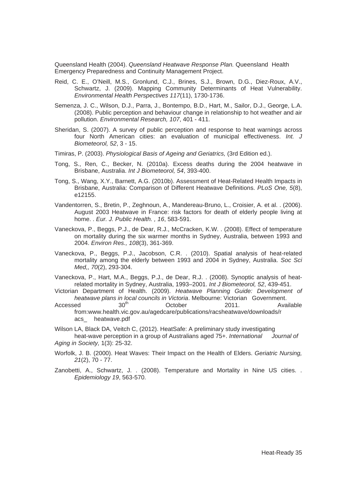Queensland Health (2004). *Queensland Heatwave Response Plan.* Queensland Health Emergency Preparedness and Continuity Management Project.

- Reid, C. E., O'Neill, M.S., Gronlund, C.J., Brines, S.J., Brown, D.G., Diez-Roux, A.V., Schwartz, J. (2009). Mapping Community Determinants of Heat Vulnerability. *Environmental Health Perspectives 117*(11), 1730-1736.
- Semenza, J. C., Wilson, D.J., Parra, J., Bontempo, B.D., Hart, M., Sailor, D.J., George, L.A. (2008). Public perception and behaviour change in relationship to hot weather and air pollution. *Environmental Research, 107*, 401 - 411.
- Sheridan, S. (2007). A survey of public perception and response to heat warnings across four North American cities: an evaluation of municipal effectiveness. *Int. J Biometeorol, 52*, 3 - 15.
- Timiras, P. (2003). *Physiological Basis of Ageing and Geriatrics,* (3rd Edition ed.).
- Tong, S., Ren, C., Becker, N. (2010a). Excess deaths during the 2004 heatwave in Brisbane, Australia. *Int J Biometeorol, 54*, 393-400.
- Tong, S., Wang, X.Y., Barnett, A.G. (2010b). Assessment of Heat-Related Health Impacts in Brisbane, Australia: Comparison of Different Heatwave Definitions. *PLoS One, 5*(8), e12155.
- Vandentorren, S., Bretin, P., Zeghnoun, A., Mandereau-Bruno, L., Croisier, A. et al. . (2006). August 2003 Heatwave in France: risk factors for death of elderly people living at home. . *Eur. J. Public Health. , 16*, 583-591.
- Vaneckova, P., Beggs, P.J., de Dear, R.J., McCracken, K.W. . (2008). Effect of temperature on mortality during the six warmer months in Sydney, Australia, between 1993 and 2004. *Environ Res., 108*(3), 361-369.
- Vaneckova, P., Beggs, P.J., Jacobson, C.R. . (2010). Spatial analysis of heat-related mortality among the elderly between 1993 and 2004 in Sydney, Australia. *Soc Sci Med,, 70*(2), 293-304.
- Vaneckova, P., Hart, M.A., Beggs, P.J., de Dear, R.J. . (2008). Synoptic analysis of heatrelated mortality in Sydney, Australia, 1993–2001. *Int J Biometeorol, 52*, 439-451.
- Victorian Department of Health. (2009). *Heatwave Planning Guide: Development of heatwave plans in local councils in Victoria*. Melbourne: Victorian Government.
- Accessed 30<sup>th</sup> October 2011. Available from:www.health.vic.gov.au/agedcare/publications/racsheatwave/downloads/r acs\_ heatwave.pdf
- Wilson LA, Black DA, Veitch C, (2012). HeatSafe: A preliminary study investigating heat-wave perception in a group of Australians aged 75+. *International Journal of Aging in Society,* 1(3): 25-32.
- Worfolk, J. B. (2000). Heat Waves: Their Impact on the Health of Elders. *Geriatric Nursing, 21*(2), 70 - 77.
- Zanobetti, A., Schwartz, J. . (2008). Temperature and Mortality in Nine US cities. . *Epidemiology 19*, 563-570.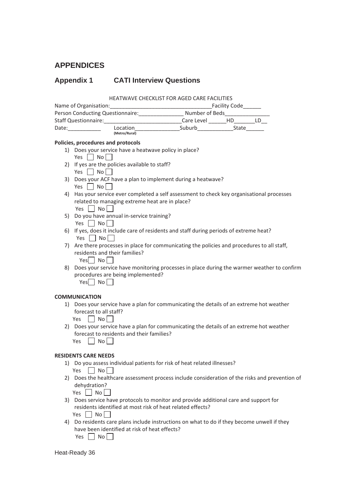## **APPENDICES**

## **Appendix 1 CATI Interview Questions**

HEATWAVE CHECKLIST FOR AGED CARE FACILITIES

| Name of Organisation:                              |                           | <b>Facility Code</b> |       |  |  |
|----------------------------------------------------|---------------------------|----------------------|-------|--|--|
| Number of Beds<br>Person Conducting Questionnaire: |                           |                      |       |  |  |
| <b>Staff Questionnaire:</b>                        |                           | Care Level           | HD.   |  |  |
| Date:                                              | Location<br>(Metro/Rural) | Suburb               | State |  |  |

#### **Policies, procedures and protocols**

- 1) Does your service have a heatwave policy in place? Yes  $\Box$  No  $\Box$
- 2) If yes are the policies available to staff? Yes  $\Box$  No  $\Box$
- 3) Does your ACF have a plan to implement during a heatwave? Yes  $\Box$  No  $\Box$
- 4) Has your service ever completed a self assessment to check key organisational processes related to managing extreme heat are in place? Yes  $\Box$  No $\Box$
- 5) Do you have annual in-service training? Yes  $\Box$  No  $\Box$
- 6) If yes, does it include care of residents and staff during periods of extreme heat? Yes  $\Box$  No  $\Box$
- 7) Are there processes in place for communicating the policies and procedures to all staff, residents and their families?

 $Yes \Box No \Box$ 

8) Does your service have monitoring processes in place during the warmer weather to confirm procedures are being implemented?

 $Yes$  No

#### **COMMUNICATION**

1) Does your service have a plan for communicating the details of an extreme hot weather forecast to all staff?

|  | N٥ |  |
|--|----|--|
|--|----|--|

- 2) Does your service have a plan for communicating the details of an extreme hot weather forecast to residents and their families?
	- Yes  $\Box$  No  $\Box$

#### **RESIDENTS CARE NEEDS**

1) Do you assess individual patients for risk of heat related illnesses?

Yes  $\Box$  No  $\Box$ 

2) Does the healthcare assessment process include consideration of the risks and prevention of dehydration?

Yes  $\Box$  No  $\Box$ 

- 3) Does service have protocols to monitor and provide additional care and support for residents identified at most risk of heat related effects? Yes  $\Box$  No  $\Box$
- 4) Do residents care plans include instructions on what to do if they become unwell if they have been identified at risk of heat effects? Yes  $\Box$  No $\Box$

Heat-Ready 36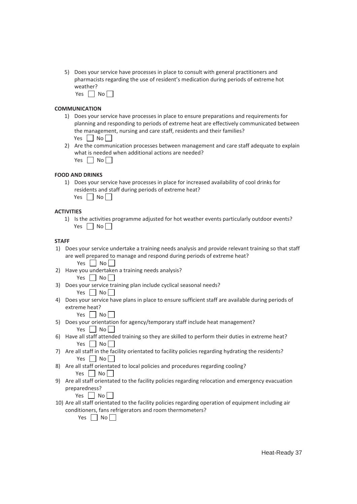- 5) Does your service have processes in place to consult with general practitioners and pharmacists regarding the use of resident's medication during periods of extreme hot weather?
	- Yes  $\Box$  No  $\Box$

#### **COMMUNICATION**

- 1) Does your service have processes in place to ensure preparations and requirements for planning and responding to periods of extreme heat are effectively communicated between the management, nursing and care staff, residents and their families? Yes  $\Box$  No  $\Box$
- 2) Are the communication processes between management and care staff adequate to explain what is needed when additional actions are needed? Yes  $\Box$  No  $\Box$

#### **FOOD AND DRINKS**

1) Does your service have processes in place for increased availability of cool drinks for residents and staff during periods of extreme heat? Yes  $\Box$  No  $\Box$ 

#### **ACTIVITIES**

1) Is the activities programme adjusted for hot weather events particularly outdoor events? Yes  $\Box$  No  $\Box$ 

#### **STAFF**

- 1) Does your service undertake a training needs analysis and provide relevant training so that staff are well prepared to manage and respond during periods of extreme heat? Yes  $|$   $|$  No  $|$
- 2) Have you undertaken a training needs analysis? Yes  $\Box$  No $\Box$
- 3) Does your service training plan include cyclical seasonal needs? Yes  $\Box$  No
- 4) Does your service have plans in place to ensure sufficient staff are available during periods of extreme heat?

Yes  $\Box$  No  $\Box$ 

- 5) Does your orientation for agency/temporary staff include heat management? Yes  $\vert$  No  $\vert$  |
- 6) Have all staff attended training so they are skilled to perform their duties in extreme heat?  $Yes \nightharpoonup No \nightharpoonup$
- 7) Are all staff in the facility orientated to facility policies regarding hydrating the residents? Yes  $\Box$  No  $\Box$
- 8) Are all staff orientated to local policies and procedures regarding cooling? Yes  $\Box$  No  $\Box$
- 9) Are all staff orientated to the facility policies regarding relocation and emergency evacuation preparedness?

Yes  $\Box$  No  $\Box$ 

10) Are all staff orientated to the facility policies regarding operation of equipment including air conditioners, fans refrigerators and room thermometers?

Yes  $\Box$  No $\Box$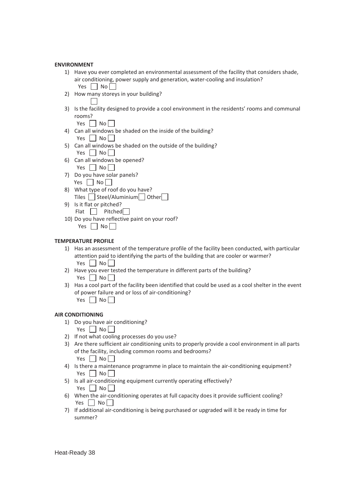#### **ENVIRONMENT**

- 1) Have you ever completed an environmental assessment of the facility that considers shade, air conditioning, power supply and generation, water-cooling and insulation? Yes  $\Box$  No  $\Box$
- 2) How many storeys in your building?

3) Is the facility designed to provide a cool environment in the residents' rooms and communal rooms?

Yes  $\Box$  No  $\Box$ 

- 4) Can all windows be shaded on the inside of the building? Yes  $\Box$  No  $\Box$
- 5) Can all windows be shaded on the outside of the building? Yes No
- 6) Can all windows be opened? Yes  $\Box$  No  $\Box$
- 7) Do you have solar panels? Yes  $\Box$  No  $\Box$
- 8) What type of roof do you have? Tiles  $\Box$  Steel/Aluminium  $\Box$  Other  $\Box$
- 9) Is it flat or pitched? Flat Pitched
- 10) Do you have reflective paint on your roof? Yes  $\Box$  No  $\Box$

#### **TEMPERATURE PROFILE**

- 1) Has an assessment of the temperature profile of the facility been conducted, with particular attention paid to identifying the parts of the building that are cooler or warmer? Yes  $\vert$  No  $\vert$  |
- 2) Have you ever tested the temperature in different parts of the building? Yes  $\Box$  No $\Box$
- 3) Has a cool part of the facility been identified that could be used as a cool shelter in the event of power failure and or loss of air-conditioning? Yes  $\Box$  No $\Box$

#### **AIR CONDITIONING**

- 1) Do you have air conditioning?
	- Yes  $\Box$  No  $\Box$
- 2) If not what cooling processes do you use?
- 3) Are there sufficient air conditioning units to properly provide a cool environment in all parts of the facility, including common rooms and bedrooms? Yes  $\Box$  No  $\Box$
- 4) Is there a maintenance programme in place to maintain the air-conditioning equipment? Yes  $\vert$  No  $\vert$  |
- 5) Is all air-conditioning equipment currently operating effectively?  $Yes \mid No \mid$
- 6) When the air-conditioning operates at full capacity does it provide sufficient cooling? Yes  $\Box$  No  $\Box$
- 7) If additional air-conditioning is being purchased or upgraded will it be ready in time for summer?

Heat-Ready 38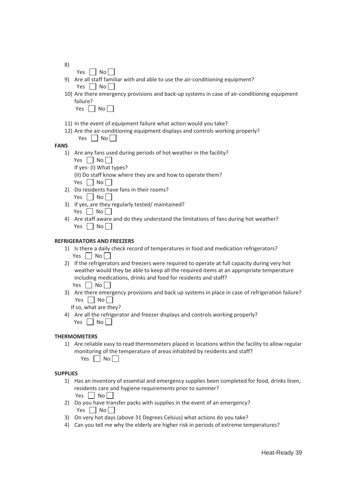- 8)
- Yes  $\Box$  No  $\Box$ 9) Are all staff familiar with and able to use the air-conditioning equipment?  $Yes \mid No \mid$
- 10) Are there emergency provisions and back-up systems in case of air-conditioning equipment failure?

|  |  | N٥ |  |
|--|--|----|--|
|  |  |    |  |

- 11) In the event of equipment failure what action would you take?
- 12) Are the air-conditioning equipment displays and controls working properly?
	- Yes  $\Box$  No  $\Box$

#### **FANS**

- 1) Are any fans used during periods of hot weather in the facility?
	- Yes  $\Box$  No  $\Box$
	- If yes-(I) What types?

(II) Do staff know where they are and how to operate them? Yes  $\vert$  No  $\vert$ 

- 2) Do residents have fans in their rooms? Yes  $\Box$  No  $\Box$
- 3) If yes, are they regularly tested/ maintained? Yes  $\Box$  No
- 4) Are staff aware and do they understand the limitations of fans during hot weather? Yes  $\Box$  No  $\Box$

#### **REFRIGERATORS AND FREEZERS**

- 1) Is there a daily check record of temperatures in food and medication refrigerators? Yes  $\Box$  No  $\Box$
- 2) If the refrigerators and freezers were required to operate at full capacity during very hot weather would they be able to keep all the required items at an appropriate temperature including medications, drinks and food for residents and staff? Yes  $\Box$  No
- 3) Are there emergency provisions and back up systems in place in case of refrigeration failure? Yes  $\Box$  No  $\Box$

If so, what are they?

4) Are all the refrigerator and freezer displays and controls working properly? Yes  $\Box$  No  $\Box$ 

#### **THERMOMETERS**

1) Are reliable easy to read thermometers placed in locations within the facility to allow regular monitoring of the temperature of areas inhabited by residents and staff? Yes  $\Box$  No  $\Box$ 

#### **SUPPLIES**

1) Has an inventory of essential and emergency supplies been completed for food, drinks linen, residents care and hygiene requirements prior to summer?

Yes  $\Box$  No  $\Box$ 

- 2) Do you have transfer packs with supplies in the event of an emergency? Yes  $\Box$  No  $\Box$
- 3) On very hot days (above 31 Degrees Celsius) what actions do you take?
- 4) Can you tell me why the elderly are higher risk in periods of extreme temperatures?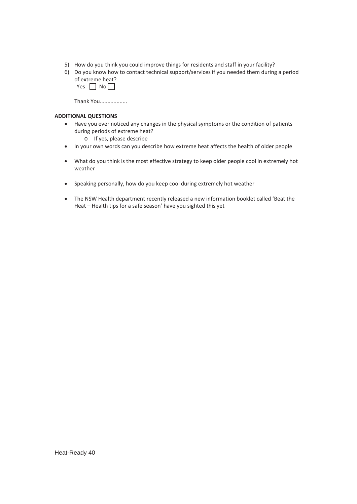- 5) How do you think you could improve things for residents and staff in your facility?
- 6) Do you know how to contact technical support/services if you needed them during a period of extreme heat?
	- Yes  $\Box$  No  $\Box$

Thank You..................

#### **ADDITIONAL QUESTIONS**

- Have you ever noticed any changes in the physical symptoms or the condition of patients during periods of extreme heat?
	- o If yes, please describe
- In your own words can you describe how extreme heat affects the health of older people
- What do you think is the most effective strategy to keep older people cool in extremely hot weather
- Speaking personally, how do you keep cool during extremely hot weather
- The NSW Health department recently released a new information booklet called 'Beat the Heat – Health tips for a safe season' have you sighted this yet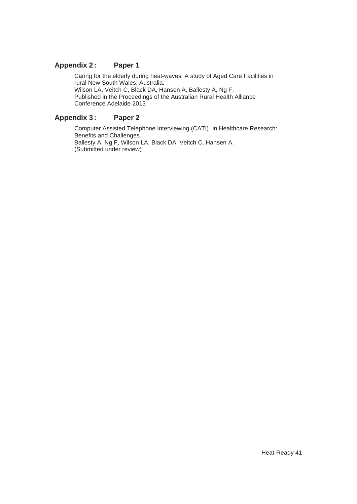#### Appendix 2: Paper 1

 Caring for the elderly during heat-waves: A study of Aged Care Facilities in rural New South Wales, Australia. Wilson LA, Veitch C, Black DA, Hansen A, Ballesty A, Ng F. Published in the Proceedings of the Australian Rural Health Alliance Conference Adelaide 2013

#### Appendix 3: Paper 2

 Computer Assisted Telephone Interviewing (CATI) in Healthcare Research: Benefits and Challenges. Ballesty A, Ng F, Wilson LA, Black DA, Veitch C, Hansen A. (Submitted under review)